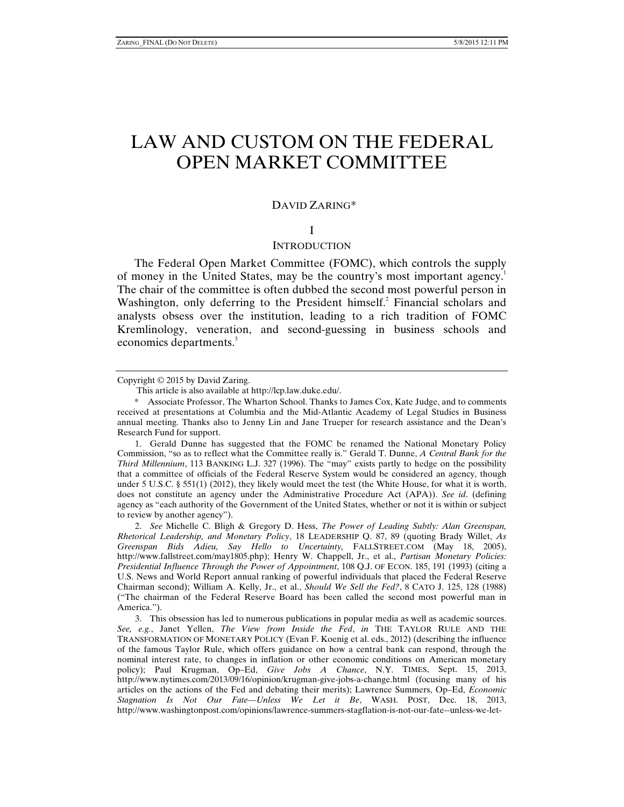# LAW AND CUSTOM ON THE FEDERAL OPEN MARKET COMMITTEE

# DAVID ZARING\*

#### I

## **INTRODUCTION**

The Federal Open Market Committee (FOMC), which controls the supply of money in the United States, may be the country's most important agency.<sup>1</sup> The chair of the committee is often dubbed the second most powerful person in Washington, only deferring to the President himself.<sup>2</sup> Financial scholars and analysts obsess over the institution, leading to a rich tradition of FOMC Kremlinology, veneration, and second-guessing in business schools and economics departments.<sup>3</sup>

 1. Gerald Dunne has suggested that the FOMC be renamed the National Monetary Policy Commission, "so as to reflect what the Committee really is." Gerald T. Dunne, *A Central Bank for the Third Millennium*, 113 BANKING L.J. 327 (1996). The "may" exists partly to hedge on the possibility that a committee of officials of the Federal Reserve System would be considered an agency, though under 5 U.S.C. § 551(1) (2012), they likely would meet the test (the White House, for what it is worth, does not constitute an agency under the Administrative Procedure Act (APA)). *See id*. (defining agency as "each authority of the Government of the United States, whether or not it is within or subject to review by another agency").

 2. *See* Michelle C. Bligh & Gregory D. Hess, *The Power of Leading Subtly: Alan Greenspan, Rhetorical Leadership, and Monetary Policy*, 18 LEADERSHIP Q. 87, 89 (quoting Brady Willet, *As Greenspan Bids Adieu, Say Hello to Uncertainty,* FALLSTREET.COM (May 18, 2005), http://www.fallstreet.com/may1805.php); Henry W. Chappell, Jr., et al., *Partisan Monetary Policies: Presidential Influence Through the Power of Appointment*, 108 Q.J. OF ECON. 185, 191 (1993) (citing a U.S. News and World Report annual ranking of powerful individuals that placed the Federal Reserve Chairman second); William A. Kelly, Jr., et al., *Should We Sell the Fed?*, 8 CATO J. 125, 128 (1988) ("The chairman of the Federal Reserve Board has been called the second most powerful man in America.").

 3. This obsession has led to numerous publications in popular media as well as academic sources. *See, e.g.*, Janet Yellen, *The View from Inside the Fed*, *in* THE TAYLOR RULE AND THE TRANSFORMATION OF MONETARY POLICY (Evan F. Koenig et al. eds., 2012) (describing the influence of the famous Taylor Rule, which offers guidance on how a central bank can respond, through the nominal interest rate, to changes in inflation or other economic conditions on American monetary policy); Paul Krugman, Op–Ed, *Give Jobs A Chance*, N.Y. TIMES, Sept. 15, 2013, http://www.nytimes.com/2013/09/16/opinion/krugman-give-jobs-a-change.html (focusing many of his articles on the actions of the Fed and debating their merits); Lawrence Summers, Op–Ed, *Economic Stagnation Is Not Our Fate—Unless We Let it Be*, WASH. POST, Dec. 18, 2013, http://www.washingtonpost.com/opinions/lawrence-summers-stagflation-is-not-our-fate--unless-we-let-

Copyright © 2015 by David Zaring.

This article is also available at http://lcp.law.duke.edu/.

 <sup>\*</sup> Associate Professor, The Wharton School. Thanks to James Cox, Kate Judge, and to comments received at presentations at Columbia and the Mid-Atlantic Academy of Legal Studies in Business annual meeting. Thanks also to Jenny Lin and Jane Trueper for research assistance and the Dean's Research Fund for support.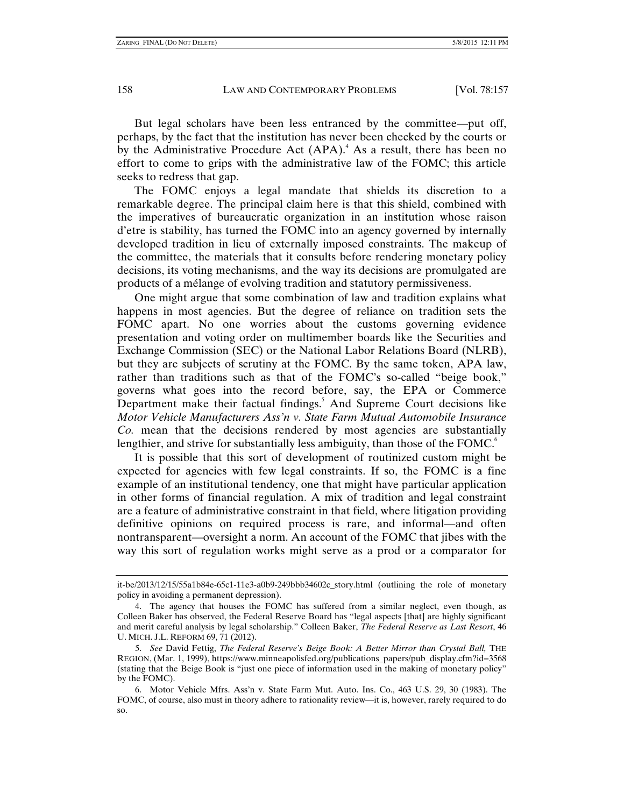But legal scholars have been less entranced by the committee—put off, perhaps, by the fact that the institution has never been checked by the courts or by the Administrative Procedure Act (APA).<sup>4</sup> As a result, there has been no effort to come to grips with the administrative law of the FOMC; this article seeks to redress that gap.

The FOMC enjoys a legal mandate that shields its discretion to a remarkable degree. The principal claim here is that this shield, combined with the imperatives of bureaucratic organization in an institution whose raison d'etre is stability, has turned the FOMC into an agency governed by internally developed tradition in lieu of externally imposed constraints. The makeup of the committee, the materials that it consults before rendering monetary policy decisions, its voting mechanisms, and the way its decisions are promulgated are products of a mélange of evolving tradition and statutory permissiveness.

One might argue that some combination of law and tradition explains what happens in most agencies. But the degree of reliance on tradition sets the FOMC apart. No one worries about the customs governing evidence presentation and voting order on multimember boards like the Securities and Exchange Commission (SEC) or the National Labor Relations Board (NLRB), but they are subjects of scrutiny at the FOMC. By the same token, APA law, rather than traditions such as that of the FOMC's so-called "beige book," governs what goes into the record before, say, the EPA or Commerce Department make their factual findings.<sup>5</sup> And Supreme Court decisions like *Motor Vehicle Manufacturers Ass'n v. State Farm Mutual Automobile Insurance Co.* mean that the decisions rendered by most agencies are substantially lengthier, and strive for substantially less ambiguity, than those of the FOMC.<sup>6</sup>

It is possible that this sort of development of routinized custom might be expected for agencies with few legal constraints. If so, the FOMC is a fine example of an institutional tendency, one that might have particular application in other forms of financial regulation. A mix of tradition and legal constraint are a feature of administrative constraint in that field, where litigation providing definitive opinions on required process is rare, and informal—and often nontransparent—oversight a norm. An account of the FOMC that jibes with the way this sort of regulation works might serve as a prod or a comparator for

it-be/2013/12/15/55a1b84e-65c1-11e3-a0b9-249bbb34602c\_story.html (outlining the role of monetary policy in avoiding a permanent depression).

 <sup>4.</sup> The agency that houses the FOMC has suffered from a similar neglect, even though, as Colleen Baker has observed, the Federal Reserve Board has "legal aspects [that] are highly significant and merit careful analysis by legal scholarship." Colleen Baker, *The Federal Reserve as Last Resort*, 46 U. MICH. J.L. REFORM 69, 71 (2012).

 <sup>5.</sup> *See* David Fettig, *The Federal Reserve's Beige Book: A Better Mirror than Crystal Ball,* THE REGION, (Mar. 1, 1999), https://www.minneapolisfed.org/publications\_papers/pub\_display.cfm?id=3568 (stating that the Beige Book is "just one piece of information used in the making of monetary policy" by the FOMC).

 <sup>6.</sup> Motor Vehicle Mfrs. Ass'n v. State Farm Mut. Auto. Ins. Co., 463 U.S. 29, 30 (1983). The FOMC, of course, also must in theory adhere to rationality review—it is, however, rarely required to do so.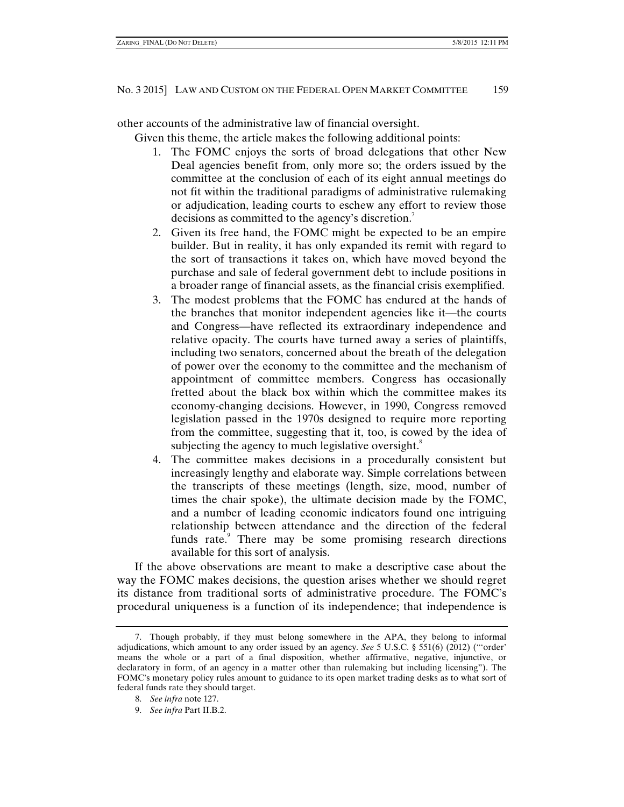other accounts of the administrative law of financial oversight.

Given this theme, the article makes the following additional points:

- 1. The FOMC enjoys the sorts of broad delegations that other New Deal agencies benefit from, only more so; the orders issued by the committee at the conclusion of each of its eight annual meetings do not fit within the traditional paradigms of administrative rulemaking or adjudication, leading courts to eschew any effort to review those decisions as committed to the agency's discretion.<sup>7</sup>
- 2. Given its free hand, the FOMC might be expected to be an empire builder. But in reality, it has only expanded its remit with regard to the sort of transactions it takes on, which have moved beyond the purchase and sale of federal government debt to include positions in a broader range of financial assets, as the financial crisis exemplified.
- 3. The modest problems that the FOMC has endured at the hands of the branches that monitor independent agencies like it—the courts and Congress—have reflected its extraordinary independence and relative opacity. The courts have turned away a series of plaintiffs, including two senators, concerned about the breath of the delegation of power over the economy to the committee and the mechanism of appointment of committee members. Congress has occasionally fretted about the black box within which the committee makes its economy-changing decisions. However, in 1990, Congress removed legislation passed in the 1970s designed to require more reporting from the committee, suggesting that it, too, is cowed by the idea of subjecting the agency to much legislative oversight.<sup>8</sup>
- 4. The committee makes decisions in a procedurally consistent but increasingly lengthy and elaborate way. Simple correlations between the transcripts of these meetings (length, size, mood, number of times the chair spoke), the ultimate decision made by the FOMC, and a number of leading economic indicators found one intriguing relationship between attendance and the direction of the federal funds rate.<sup>9</sup> There may be some promising research directions available for this sort of analysis.

If the above observations are meant to make a descriptive case about the way the FOMC makes decisions, the question arises whether we should regret its distance from traditional sorts of administrative procedure. The FOMC's procedural uniqueness is a function of its independence; that independence is

 <sup>7.</sup> Though probably, if they must belong somewhere in the APA, they belong to informal adjudications, which amount to any order issued by an agency. *See* 5 U.S.C. § 551(6) (2012) ("'order' means the whole or a part of a final disposition, whether affirmative, negative, injunctive, or declaratory in form, of an agency in a matter other than rulemaking but including licensing"). The FOMC's monetary policy rules amount to guidance to its open market trading desks as to what sort of federal funds rate they should target.

 <sup>8.</sup> *See infra* note 127.

 <sup>9.</sup> *See infra* Part II.B.2.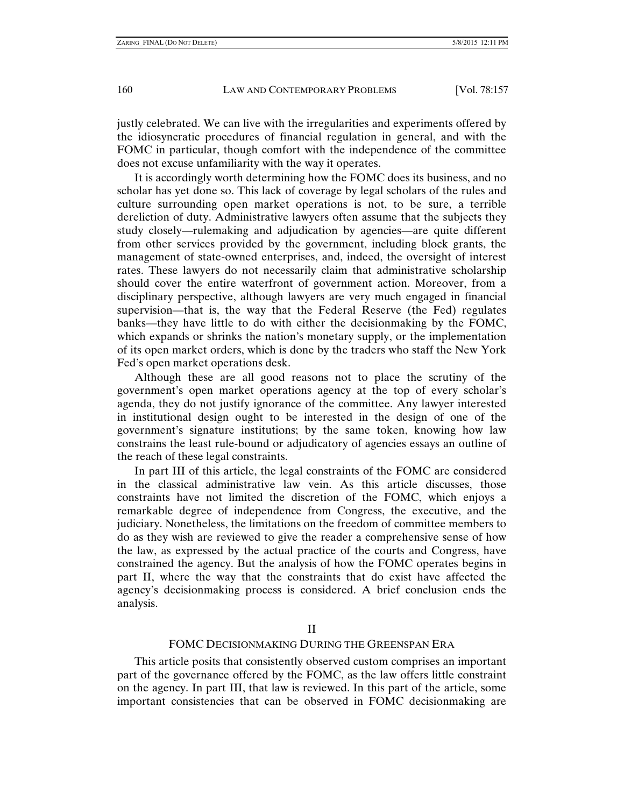justly celebrated. We can live with the irregularities and experiments offered by the idiosyncratic procedures of financial regulation in general, and with the FOMC in particular, though comfort with the independence of the committee does not excuse unfamiliarity with the way it operates.

It is accordingly worth determining how the FOMC does its business, and no scholar has yet done so. This lack of coverage by legal scholars of the rules and culture surrounding open market operations is not, to be sure, a terrible dereliction of duty. Administrative lawyers often assume that the subjects they study closely—rulemaking and adjudication by agencies—are quite different from other services provided by the government, including block grants, the management of state-owned enterprises, and, indeed, the oversight of interest rates. These lawyers do not necessarily claim that administrative scholarship should cover the entire waterfront of government action. Moreover, from a disciplinary perspective, although lawyers are very much engaged in financial supervision—that is, the way that the Federal Reserve (the Fed) regulates banks—they have little to do with either the decisionmaking by the FOMC, which expands or shrinks the nation's monetary supply, or the implementation of its open market orders, which is done by the traders who staff the New York Fed's open market operations desk.

Although these are all good reasons not to place the scrutiny of the government's open market operations agency at the top of every scholar's agenda, they do not justify ignorance of the committee. Any lawyer interested in institutional design ought to be interested in the design of one of the government's signature institutions; by the same token, knowing how law constrains the least rule-bound or adjudicatory of agencies essays an outline of the reach of these legal constraints.

In part III of this article, the legal constraints of the FOMC are considered in the classical administrative law vein. As this article discusses, those constraints have not limited the discretion of the FOMC, which enjoys a remarkable degree of independence from Congress, the executive, and the judiciary. Nonetheless, the limitations on the freedom of committee members to do as they wish are reviewed to give the reader a comprehensive sense of how the law, as expressed by the actual practice of the courts and Congress, have constrained the agency. But the analysis of how the FOMC operates begins in part II, where the way that the constraints that do exist have affected the agency's decisionmaking process is considered. A brief conclusion ends the analysis.

#### FOMC DECISIONMAKING DURING THE GREENSPAN ERA

This article posits that consistently observed custom comprises an important part of the governance offered by the FOMC, as the law offers little constraint on the agency. In part III, that law is reviewed. In this part of the article, some important consistencies that can be observed in FOMC decisionmaking are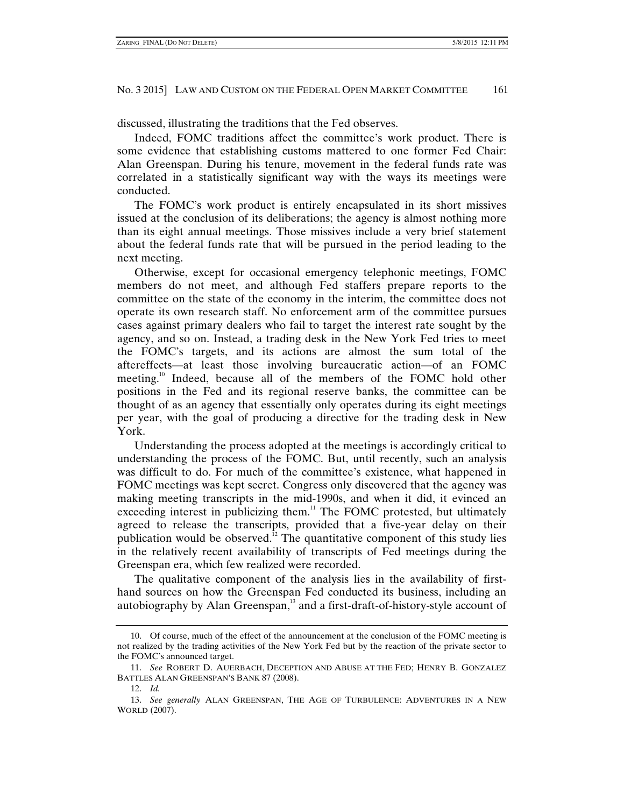discussed, illustrating the traditions that the Fed observes.

Indeed, FOMC traditions affect the committee's work product. There is some evidence that establishing customs mattered to one former Fed Chair: Alan Greenspan. During his tenure, movement in the federal funds rate was correlated in a statistically significant way with the ways its meetings were conducted.

The FOMC's work product is entirely encapsulated in its short missives issued at the conclusion of its deliberations; the agency is almost nothing more than its eight annual meetings. Those missives include a very brief statement about the federal funds rate that will be pursued in the period leading to the next meeting.

Otherwise, except for occasional emergency telephonic meetings, FOMC members do not meet, and although Fed staffers prepare reports to the committee on the state of the economy in the interim, the committee does not operate its own research staff. No enforcement arm of the committee pursues cases against primary dealers who fail to target the interest rate sought by the agency, and so on. Instead, a trading desk in the New York Fed tries to meet the FOMC's targets, and its actions are almost the sum total of the aftereffects—at least those involving bureaucratic action—of an FOMC meeting.10 Indeed, because all of the members of the FOMC hold other positions in the Fed and its regional reserve banks, the committee can be thought of as an agency that essentially only operates during its eight meetings per year, with the goal of producing a directive for the trading desk in New York.

Understanding the process adopted at the meetings is accordingly critical to understanding the process of the FOMC. But, until recently, such an analysis was difficult to do. For much of the committee's existence, what happened in FOMC meetings was kept secret. Congress only discovered that the agency was making meeting transcripts in the mid-1990s, and when it did, it evinced an exceeding interest in publicizing them.<sup>11</sup> The FOMC protested, but ultimately agreed to release the transcripts, provided that a five-year delay on their publication would be observed.<sup>12</sup> The quantitative component of this study lies in the relatively recent availability of transcripts of Fed meetings during the Greenspan era, which few realized were recorded.

The qualitative component of the analysis lies in the availability of firsthand sources on how the Greenspan Fed conducted its business, including an autobiography by Alan Greenspan,<sup>13</sup> and a first-draft-of-history-style account of

 <sup>10.</sup> Of course, much of the effect of the announcement at the conclusion of the FOMC meeting is not realized by the trading activities of the New York Fed but by the reaction of the private sector to the FOMC's announced target.

 <sup>11.</sup> *See* ROBERT D. AUERBACH, DECEPTION AND ABUSE AT THE FED; HENRY B. GONZALEZ BATTLES ALAN GREENSPAN'S BANK 87 (2008).

 <sup>12.</sup> *Id.* 

 <sup>13.</sup> *See generally* ALAN GREENSPAN, THE AGE OF TURBULENCE: ADVENTURES IN A NEW WORLD (2007).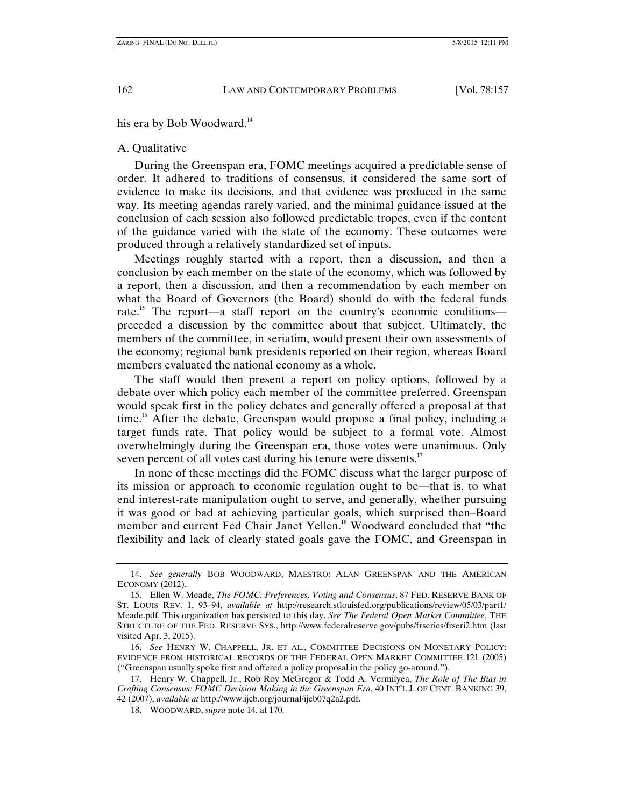his era by Bob Woodward.<sup>14</sup>

# A. Qualitative

During the Greenspan era, FOMC meetings acquired a predictable sense of order. It adhered to traditions of consensus, it considered the same sort of evidence to make its decisions, and that evidence was produced in the same way. Its meeting agendas rarely varied, and the minimal guidance issued at the conclusion of each session also followed predictable tropes, even if the content of the guidance varied with the state of the economy. These outcomes were produced through a relatively standardized set of inputs.

Meetings roughly started with a report, then a discussion, and then a conclusion by each member on the state of the economy, which was followed by a report, then a discussion, and then a recommendation by each member on what the Board of Governors (the Board) should do with the federal funds rate.<sup>15</sup> The report—a staff report on the country's economic conditions preceded a discussion by the committee about that subject. Ultimately, the members of the committee, in seriatim, would present their own assessments of the economy; regional bank presidents reported on their region, whereas Board members evaluated the national economy as a whole.

The staff would then present a report on policy options, followed by a debate over which policy each member of the committee preferred. Greenspan would speak first in the policy debates and generally offered a proposal at that time.<sup>16</sup> After the debate, Greenspan would propose a final policy, including a target funds rate. That policy would be subject to a formal vote. Almost overwhelmingly during the Greenspan era, those votes were unanimous. Only seven percent of all votes cast during his tenure were dissents.<sup>17</sup>

In none of these meetings did the FOMC discuss what the larger purpose of its mission or approach to economic regulation ought to be—that is, to what end interest-rate manipulation ought to serve, and generally, whether pursuing it was good or bad at achieving particular goals, which surprised then–Board member and current Fed Chair Janet Yellen.<sup>18</sup> Woodward concluded that "the flexibility and lack of clearly stated goals gave the FOMC, and Greenspan in

 <sup>14.</sup> *See generally* BOB WOODWARD, MAESTRO: ALAN GREENSPAN AND THE AMERICAN ECONOMY (2012).

 <sup>15.</sup> Ellen W. Meade, *The FOMC: Preferences, Voting and Consensus*, 87 FED. RESERVE BANK OF ST. LOUIS REV. 1, 93–94, *available at* http://research.stlouisfed.org/publications/review/05/03/part1/ Meade.pdf. This organization has persisted to this day. *See The Federal Open Market Committee*, THE STRUCTURE OF THE FED. RESERVE SYS., http://www.federalreserve.gov/pubs/frseries/frseri2.htm (last visited Apr. 3, 2015).

 <sup>16.</sup> *See* HENRY W. CHAPPELL, JR. ET AL., COMMITTEE DECISIONS ON MONETARY POLICY: EVIDENCE FROM HISTORICAL RECORDS OF THE FEDERAL OPEN MARKET COMMITTEE 121 (2005) ("Greenspan usually spoke first and offered a policy proposal in the policy go-around.").

 <sup>17.</sup> Henry W. Chappell, Jr., Rob Roy McGregor & Todd A. Vermilyea, *The Role of The Bias in Crafting Consensus: FOMC Decision Making in the Greenspan Era*, 40 INT'L J. OF CENT. BANKING 39, 42 (2007), *available at* http://www.ijcb.org/journal/ijcb07q2a2.pdf.

 <sup>18.</sup> WOODWARD, *supra* note 14, at 170.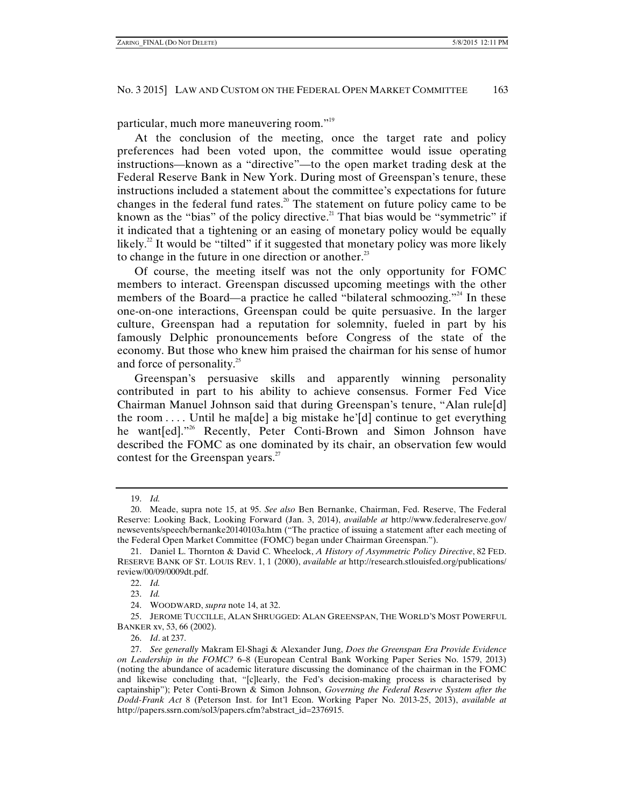particular, much more maneuvering room."19

At the conclusion of the meeting, once the target rate and policy preferences had been voted upon, the committee would issue operating instructions—known as a "directive"—to the open market trading desk at the Federal Reserve Bank in New York. During most of Greenspan's tenure, these instructions included a statement about the committee's expectations for future changes in the federal fund rates.<sup>20</sup> The statement on future policy came to be known as the "bias" of the policy directive.<sup>21</sup> That bias would be "symmetric" if it indicated that a tightening or an easing of monetary policy would be equally likely.<sup>22</sup> It would be "tilted" if it suggested that monetary policy was more likely to change in the future in one direction or another.<sup>23</sup>

Of course, the meeting itself was not the only opportunity for FOMC members to interact. Greenspan discussed upcoming meetings with the other members of the Board—a practice he called "bilateral schmoozing."<sup>24</sup> In these one-on-one interactions, Greenspan could be quite persuasive. In the larger culture, Greenspan had a reputation for solemnity, fueled in part by his famously Delphic pronouncements before Congress of the state of the economy. But those who knew him praised the chairman for his sense of humor and force of personality. $25$ 

Greenspan's persuasive skills and apparently winning personality contributed in part to his ability to achieve consensus. Former Fed Vice Chairman Manuel Johnson said that during Greenspan's tenure, "Alan rule[d] the room  $\dots$  Until he ma[de] a big mistake he'[d] continue to get everything he want[ed]."<sup>26</sup> Recently, Peter Conti-Brown and Simon Johnson have described the FOMC as one dominated by its chair, an observation few would contest for the Greenspan years.<sup>27</sup>

 <sup>19.</sup> *Id.*

 <sup>20.</sup> Meade, supra note 15, at 95. *See also* Ben Bernanke, Chairman, Fed. Reserve, The Federal Reserve: Looking Back, Looking Forward (Jan. 3, 2014), *available at* http://www.federalreserve.gov/ newsevents/speech/bernanke20140103a.htm ("The practice of issuing a statement after each meeting of the Federal Open Market Committee (FOMC) began under Chairman Greenspan.").

 <sup>21.</sup> Daniel L. Thornton & David C. Wheelock, *A History of Asymmetric Policy Directive*, 82 FED. RESERVE BANK OF ST. LOUIS REV. 1, 1 (2000), *available at* http://research.stlouisfed.org/publications/ review/00/09/0009dt.pdf.

 <sup>22.</sup> *Id.*

 <sup>23.</sup> *Id.*

 <sup>24.</sup> WOODWARD, *supra* note 14, at 32.

 <sup>25.</sup> JEROME TUCCILLE, ALAN SHRUGGED: ALAN GREENSPAN, THE WORLD'S MOST POWERFUL BANKER xv, 53, 66 (2002).

 <sup>26.</sup> *Id*. at 237.

 <sup>27.</sup> *See generally* Makram El-Shagi & Alexander Jung, *Does the Greenspan Era Provide Evidence on Leadership in the FOMC?* 6–8 (European Central Bank Working Paper Series No. 1579, 2013) (noting the abundance of academic literature discussing the dominance of the chairman in the FOMC and likewise concluding that, "[c]learly, the Fed's decision-making process is characterised by captainship"); Peter Conti-Brown & Simon Johnson, *Governing the Federal Reserve System after the Dodd-Frank Act* 8 (Peterson Inst. for Int'l Econ. Working Paper No. 2013-25, 2013), *available at* http://papers.ssrn.com/sol3/papers.cfm?abstract\_id=2376915.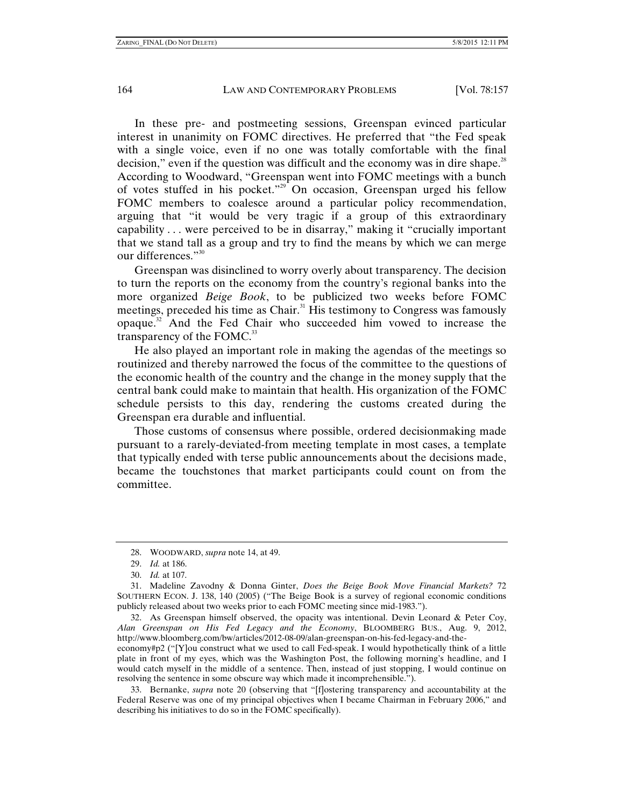In these pre- and postmeeting sessions, Greenspan evinced particular interest in unanimity on FOMC directives. He preferred that "the Fed speak with a single voice, even if no one was totally comfortable with the final decision," even if the question was difficult and the economy was in dire shape.<sup>28</sup> According to Woodward, "Greenspan went into FOMC meetings with a bunch of votes stuffed in his pocket."<sup>29</sup> On occasion, Greenspan urged his fellow FOMC members to coalesce around a particular policy recommendation, arguing that "it would be very tragic if a group of this extraordinary capability . . . were perceived to be in disarray," making it "crucially important that we stand tall as a group and try to find the means by which we can merge our differences."<sup>30</sup>

Greenspan was disinclined to worry overly about transparency. The decision to turn the reports on the economy from the country's regional banks into the more organized *Beige Book*, to be publicized two weeks before FOMC meetings, preceded his time as Chair.<sup>31</sup> His testimony to Congress was famously opaque.32 And the Fed Chair who succeeded him vowed to increase the transparency of the FOMC. $33$ 

He also played an important role in making the agendas of the meetings so routinized and thereby narrowed the focus of the committee to the questions of the economic health of the country and the change in the money supply that the central bank could make to maintain that health. His organization of the FOMC schedule persists to this day, rendering the customs created during the Greenspan era durable and influential.

Those customs of consensus where possible, ordered decisionmaking made pursuant to a rarely-deviated-from meeting template in most cases, a template that typically ended with terse public announcements about the decisions made, became the touchstones that market participants could count on from the committee.

 32. As Greenspan himself observed, the opacity was intentional. Devin Leonard & Peter Coy, *Alan Greenspan on His Fed Legacy and the Economy*, BLOOMBERG BUS., Aug. 9, 2012, http://www.bloomberg.com/bw/articles/2012-08-09/alan-greenspan-on-his-fed-legacy-and-the-

economy#p2 ("[Y]ou construct what we used to call Fed-speak. I would hypothetically think of a little plate in front of my eyes, which was the Washington Post, the following morning's headline, and I would catch myself in the middle of a sentence. Then, instead of just stopping, I would continue on resolving the sentence in some obscure way which made it incomprehensible.").

 33. Bernanke, *supra* note 20 (observing that "[f]ostering transparency and accountability at the Federal Reserve was one of my principal objectives when I became Chairman in February 2006," and describing his initiatives to do so in the FOMC specifically).

 <sup>28.</sup> WOODWARD, *supra* note 14, at 49.

 <sup>29.</sup> *Id.* at 186.

 <sup>30.</sup> *Id.* at 107.

 <sup>31.</sup> Madeline Zavodny & Donna Ginter, *Does the Beige Book Move Financial Markets?* 72 SOUTHERN ECON. J. 138, 140 (2005) ("The Beige Book is a survey of regional economic conditions publicly released about two weeks prior to each FOMC meeting since mid-1983.").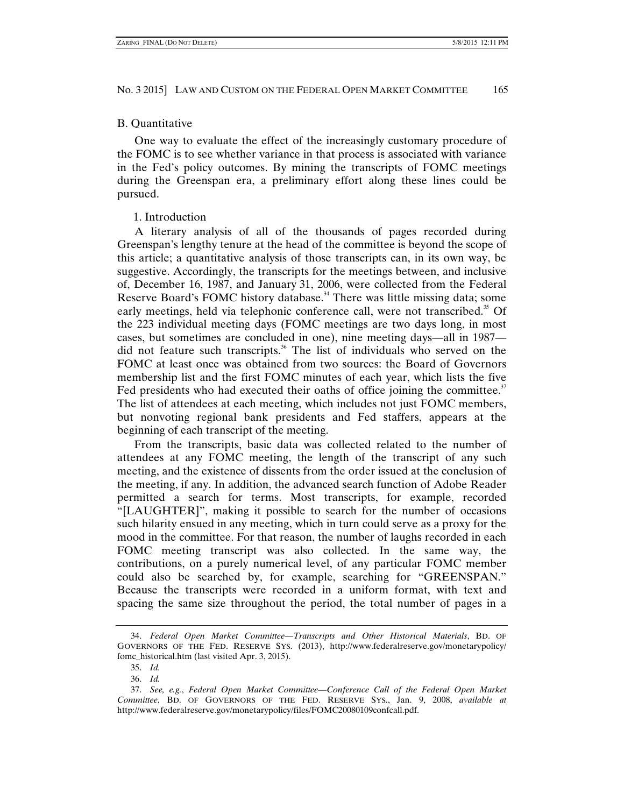# B. Quantitative

One way to evaluate the effect of the increasingly customary procedure of the FOMC is to see whether variance in that process is associated with variance in the Fed's policy outcomes. By mining the transcripts of FOMC meetings during the Greenspan era, a preliminary effort along these lines could be pursued.

# 1. Introduction

A literary analysis of all of the thousands of pages recorded during Greenspan's lengthy tenure at the head of the committee is beyond the scope of this article; a quantitative analysis of those transcripts can, in its own way, be suggestive. Accordingly, the transcripts for the meetings between, and inclusive of, December 16, 1987, and January 31, 2006, were collected from the Federal Reserve Board's FOMC history database.<sup>34</sup> There was little missing data; some early meetings, held via telephonic conference call, were not transcribed.<sup>35</sup> Of the 223 individual meeting days (FOMC meetings are two days long, in most cases, but sometimes are concluded in one), nine meeting days—all in 1987 did not feature such transcripts.<sup>36</sup> The list of individuals who served on the FOMC at least once was obtained from two sources: the Board of Governors membership list and the first FOMC minutes of each year, which lists the five Fed presidents who had executed their oaths of office joining the committee.<sup>37</sup> The list of attendees at each meeting, which includes not just FOMC members, but nonvoting regional bank presidents and Fed staffers, appears at the beginning of each transcript of the meeting.

From the transcripts, basic data was collected related to the number of attendees at any FOMC meeting, the length of the transcript of any such meeting, and the existence of dissents from the order issued at the conclusion of the meeting, if any. In addition, the advanced search function of Adobe Reader permitted a search for terms. Most transcripts, for example, recorded "[LAUGHTER]", making it possible to search for the number of occasions such hilarity ensued in any meeting, which in turn could serve as a proxy for the mood in the committee. For that reason, the number of laughs recorded in each FOMC meeting transcript was also collected. In the same way, the contributions, on a purely numerical level, of any particular FOMC member could also be searched by, for example, searching for "GREENSPAN." Because the transcripts were recorded in a uniform format, with text and spacing the same size throughout the period, the total number of pages in a

 <sup>34.</sup> *Federal Open Market Committee—Transcripts and Other Historical Materials*, BD. OF GOVERNORS OF THE FED. RESERVE SYS. (2013), http://www.federalreserve.gov/monetarypolicy/ fomc\_historical.htm (last visited Apr. 3, 2015).

 <sup>35.</sup> *Id.*

 <sup>36.</sup> *Id.*

 <sup>37.</sup> *See, e.g.*, *Federal Open Market Committee—Conference Call of the Federal Open Market Committee*, BD. OF GOVERNORS OF THE FED. RESERVE SYS., Jan. 9, 2008, *available at*  http://www.federalreserve.gov/monetarypolicy/files/FOMC20080109confcall.pdf.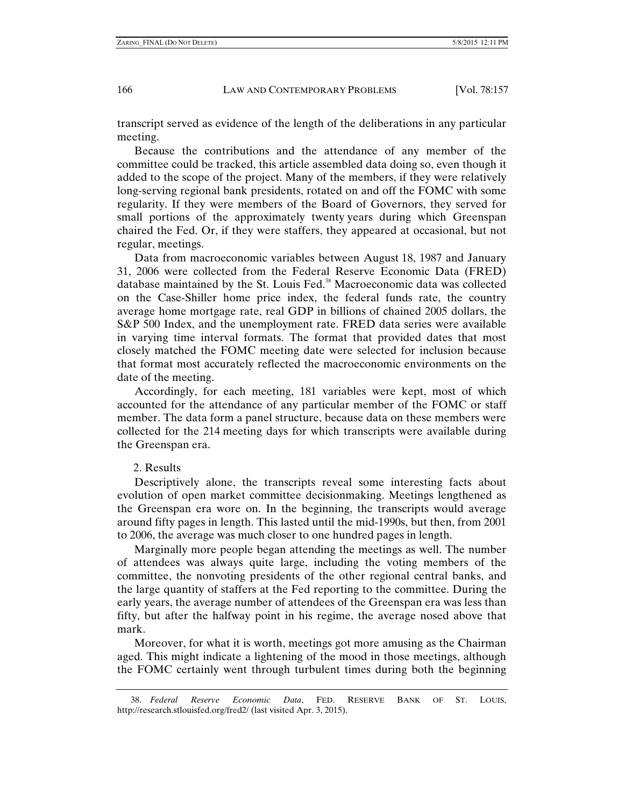transcript served as evidence of the length of the deliberations in any particular meeting.

Because the contributions and the attendance of any member of the committee could be tracked, this article assembled data doing so, even though it added to the scope of the project. Many of the members, if they were relatively long-serving regional bank presidents, rotated on and off the FOMC with some regularity. If they were members of the Board of Governors, they served for small portions of the approximately twenty years during which Greenspan chaired the Fed. Or, if they were staffers, they appeared at occasional, but not regular, meetings.

Data from macroeconomic variables between August 18, 1987 and January 31, 2006 were collected from the Federal Reserve Economic Data (FRED) database maintained by the St. Louis Fed.<sup>38</sup> Macroeconomic data was collected on the Case-Shiller home price index, the federal funds rate, the country average home mortgage rate, real GDP in billions of chained 2005 dollars, the S&P 500 Index, and the unemployment rate. FRED data series were available in varying time interval formats. The format that provided dates that most closely matched the FOMC meeting date were selected for inclusion because that format most accurately reflected the macroeconomic environments on the date of the meeting.

Accordingly, for each meeting, 181 variables were kept, most of which accounted for the attendance of any particular member of the FOMC or staff member. The data form a panel structure, because data on these members were collected for the 214 meeting days for which transcripts were available during the Greenspan era.

#### 2. Results

Descriptively alone, the transcripts reveal some interesting facts about evolution of open market committee decisionmaking. Meetings lengthened as the Greenspan era wore on. In the beginning, the transcripts would average around fifty pages in length. This lasted until the mid-1990s, but then, from 2001 to 2006, the average was much closer to one hundred pages in length.

Marginally more people began attending the meetings as well. The number of attendees was always quite large, including the voting members of the committee, the nonvoting presidents of the other regional central banks, and the large quantity of staffers at the Fed reporting to the committee. During the early years, the average number of attendees of the Greenspan era was less than fifty, but after the halfway point in his regime, the average nosed above that mark.

Moreover, for what it is worth, meetings got more amusing as the Chairman aged. This might indicate a lightening of the mood in those meetings, although the FOMC certainly went through turbulent times during both the beginning

 38. *Federal Reserve Economic Data*, FED. RESERVE BANK OF ST. LOUIS, http://research.stlouisfed.org/fred2/ (last visited Apr. 3, 2015).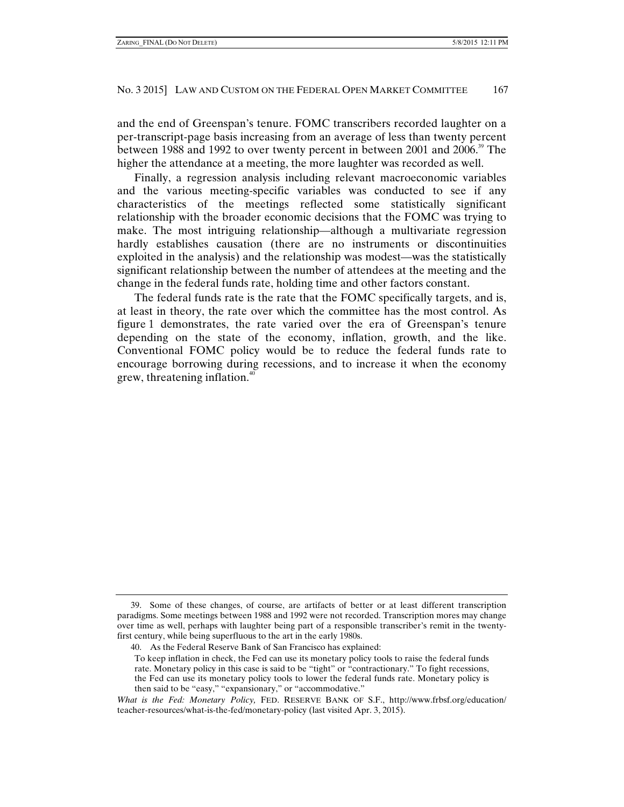and the end of Greenspan's tenure. FOMC transcribers recorded laughter on a per-transcript-page basis increasing from an average of less than twenty percent between 1988 and 1992 to over twenty percent in between 2001 and 2006.<sup>39</sup> The higher the attendance at a meeting, the more laughter was recorded as well.

Finally, a regression analysis including relevant macroeconomic variables and the various meeting-specific variables was conducted to see if any characteristics of the meetings reflected some statistically significant relationship with the broader economic decisions that the FOMC was trying to make. The most intriguing relationship—although a multivariate regression hardly establishes causation (there are no instruments or discontinuities exploited in the analysis) and the relationship was modest—was the statistically significant relationship between the number of attendees at the meeting and the change in the federal funds rate, holding time and other factors constant.

The federal funds rate is the rate that the FOMC specifically targets, and is, at least in theory, the rate over which the committee has the most control. As figure 1 demonstrates, the rate varied over the era of Greenspan's tenure depending on the state of the economy, inflation, growth, and the like. Conventional FOMC policy would be to reduce the federal funds rate to encourage borrowing during recessions, and to increase it when the economy grew, threatening inflation.<sup>40</sup>

 <sup>39.</sup> Some of these changes, of course, are artifacts of better or at least different transcription paradigms. Some meetings between 1988 and 1992 were not recorded. Transcription mores may change over time as well, perhaps with laughter being part of a responsible transcriber's remit in the twentyfirst century, while being superfluous to the art in the early 1980s.

 <sup>40.</sup> As the Federal Reserve Bank of San Francisco has explained:

To keep inflation in check, the Fed can use its monetary policy tools to raise the federal funds rate. Monetary policy in this case is said to be "tight" or "contractionary." To fight recessions, the Fed can use its monetary policy tools to lower the federal funds rate. Monetary policy is then said to be "easy," "expansionary," or "accommodative."

*What is the Fed: Monetary Policy,* FED. RESERVE BANK OF S.F., http://www.frbsf.org/education/ teacher-resources/what-is-the-fed/monetary-policy (last visited Apr. 3, 2015).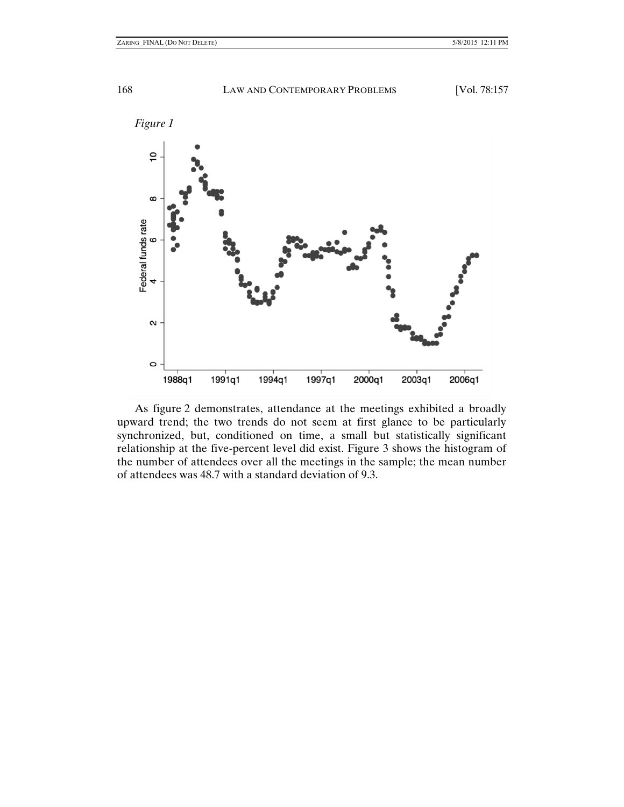

As figure 2 demonstrates, attendance at the meetings exhibited a broadly upward trend; the two trends do not seem at first glance to be particularly synchronized, but, conditioned on time, a small but statistically significant relationship at the five-percent level did exist. Figure 3 shows the histogram of the number of attendees over all the meetings in the sample; the mean number of attendees was 48.7 with a standard deviation of 9.3.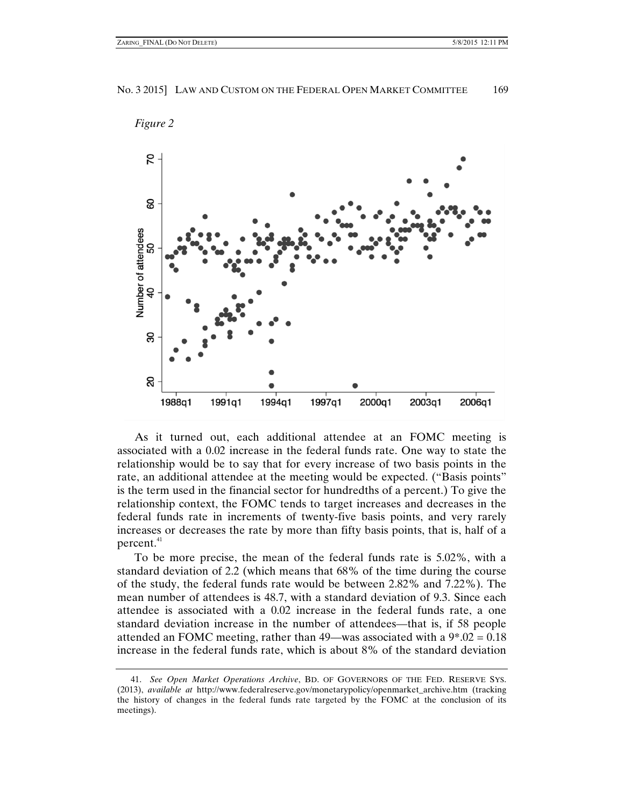



As it turned out, each additional attendee at an FOMC meeting is associated with a 0.02 increase in the federal funds rate. One way to state the relationship would be to say that for every increase of two basis points in the rate, an additional attendee at the meeting would be expected. ("Basis points" is the term used in the financial sector for hundredths of a percent.) To give the relationship context, the FOMC tends to target increases and decreases in the federal funds rate in increments of twenty-five basis points, and very rarely increases or decreases the rate by more than fifty basis points, that is, half of a percent.<sup>41</sup>

To be more precise, the mean of the federal funds rate is 5.02%, with a standard deviation of 2.2 (which means that 68% of the time during the course of the study, the federal funds rate would be between 2.82% and 7.22%). The mean number of attendees is 48.7, with a standard deviation of 9.3. Since each attendee is associated with a 0.02 increase in the federal funds rate, a one standard deviation increase in the number of attendees—that is, if 58 people attended an FOMC meeting, rather than 49—was associated with a  $9^*0.02 = 0.18$ increase in the federal funds rate, which is about 8% of the standard deviation

 <sup>41.</sup> *See Open Market Operations Archive*, BD. OF GOVERNORS OF THE FED. RESERVE SYS. (2013), *available at* http://www.federalreserve.gov/monetarypolicy/openmarket\_archive.htm (tracking the history of changes in the federal funds rate targeted by the FOMC at the conclusion of its meetings).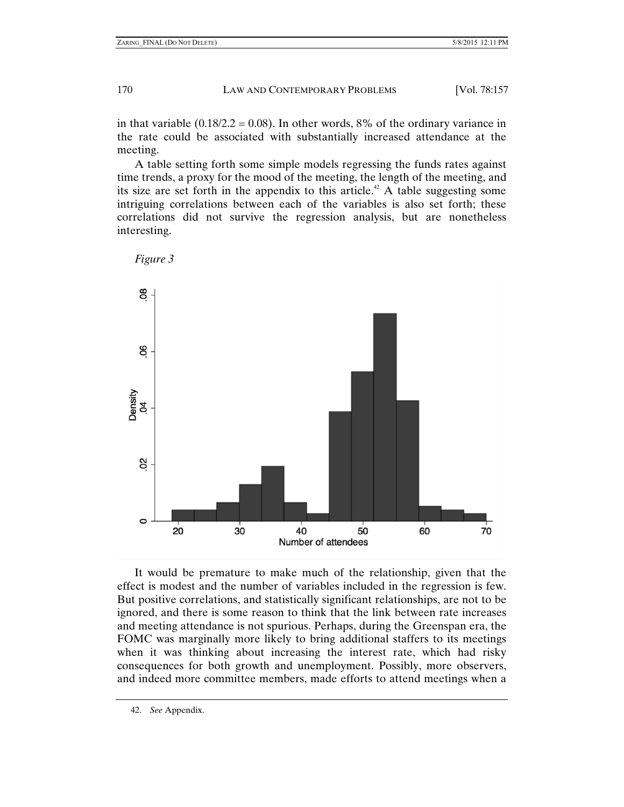in that variable  $(0.18/2.2 = 0.08)$ . In other words, 8% of the ordinary variance in the rate could be associated with substantially increased attendance at the meeting.

A table setting forth some simple models regressing the funds rates against time trends, a proxy for the mood of the meeting, the length of the meeting, and its size are set forth in the appendix to this article.<sup>42</sup> A table suggesting some intriguing correlations between each of the variables is also set forth; these correlations did not survive the regression analysis, but are nonetheless interesting.



*Figure 3*



It would be premature to make much of the relationship, given that the effect is modest and the number of variables included in the regression is few. But positive correlations, and statistically significant relationships, are not to be ignored, and there is some reason to think that the link between rate increases and meeting attendance is not spurious. Perhaps, during the Greenspan era, the FOMC was marginally more likely to bring additional staffers to its meetings when it was thinking about increasing the interest rate, which had risky consequences for both growth and unemployment. Possibly, more observers, and indeed more committee members, made efforts to attend meetings when a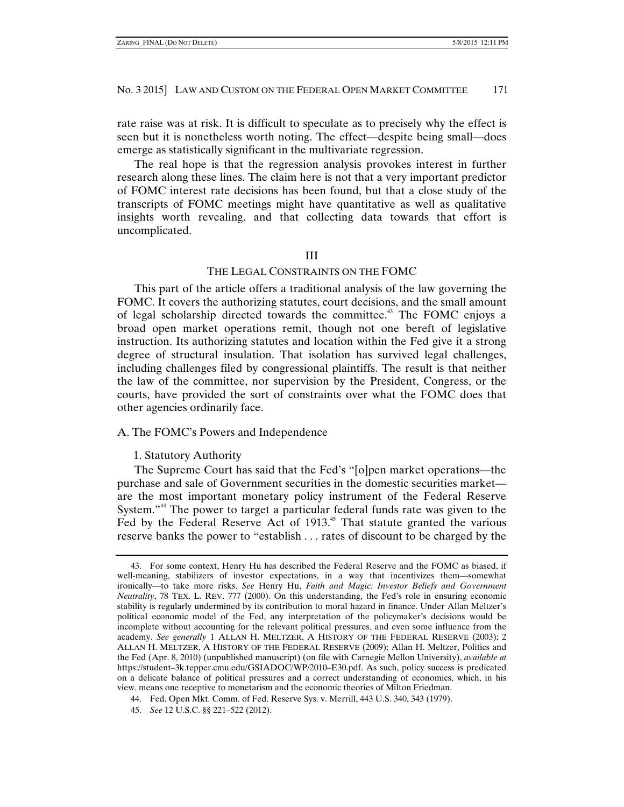rate raise was at risk. It is difficult to speculate as to precisely why the effect is seen but it is nonetheless worth noting. The effect—despite being small—does emerge as statistically significant in the multivariate regression.

The real hope is that the regression analysis provokes interest in further research along these lines. The claim here is not that a very important predictor of FOMC interest rate decisions has been found, but that a close study of the transcripts of FOMC meetings might have quantitative as well as qualitative insights worth revealing, and that collecting data towards that effort is uncomplicated.

#### III

#### THE LEGAL CONSTRAINTS ON THE FOMC

This part of the article offers a traditional analysis of the law governing the FOMC. It covers the authorizing statutes, court decisions, and the small amount of legal scholarship directed towards the committee.<sup>43</sup> The FOMC enjoys a broad open market operations remit, though not one bereft of legislative instruction. Its authorizing statutes and location within the Fed give it a strong degree of structural insulation. That isolation has survived legal challenges, including challenges filed by congressional plaintiffs. The result is that neither the law of the committee, nor supervision by the President, Congress, or the courts, have provided the sort of constraints over what the FOMC does that other agencies ordinarily face.

# A. The FOMC's Powers and Independence

#### 1. Statutory Authority

The Supreme Court has said that the Fed's "[o]pen market operations—the purchase and sale of Government securities in the domestic securities market are the most important monetary policy instrument of the Federal Reserve System."<sup>44</sup> The power to target a particular federal funds rate was given to the Fed by the Federal Reserve Act of 1913.<sup>45</sup> That statute granted the various reserve banks the power to "establish . . . rates of discount to be charged by the

 <sup>43.</sup> For some context, Henry Hu has described the Federal Reserve and the FOMC as biased, if well-meaning, stabilizers of investor expectations, in a way that incentivizes them—somewhat ironically—to take more risks. *See* Henry Hu, *Faith and Magic: Investor Beliefs and Government Neutrality*, 78 TEX. L. REV. 777 (2000). On this understanding, the Fed's role in ensuring economic stability is regularly undermined by its contribution to moral hazard in finance. Under Allan Meltzer's political economic model of the Fed, any interpretation of the policymaker's decisions would be incomplete without accounting for the relevant political pressures, and even some influence from the academy. *See generally* 1 ALLAN H. MELTZER, A HISTORY OF THE FEDERAL RESERVE (2003); 2 ALLAN H. MELTZER, A HISTORY OF THE FEDERAL RESERVE (2009); Allan H. Meltzer, Politics and the Fed (Apr. 8, 2010) (unpublished manuscript) (on file with Carnegie Mellon University), *available at* https://student–3k.tepper.cmu.edu/GSIADOC/WP/2010–E30.pdf. As such, policy success is predicated on a delicate balance of political pressures and a correct understanding of economics, which, in his view, means one receptive to monetarism and the economic theories of Milton Friedman.

 <sup>44.</sup> Fed. Open Mkt. Comm. of Fed. Reserve Sys. v. Merrill, 443 U.S. 340, 343 (1979).

 <sup>45.</sup> *See* 12 U.S.C. §§ 221–522 (2012).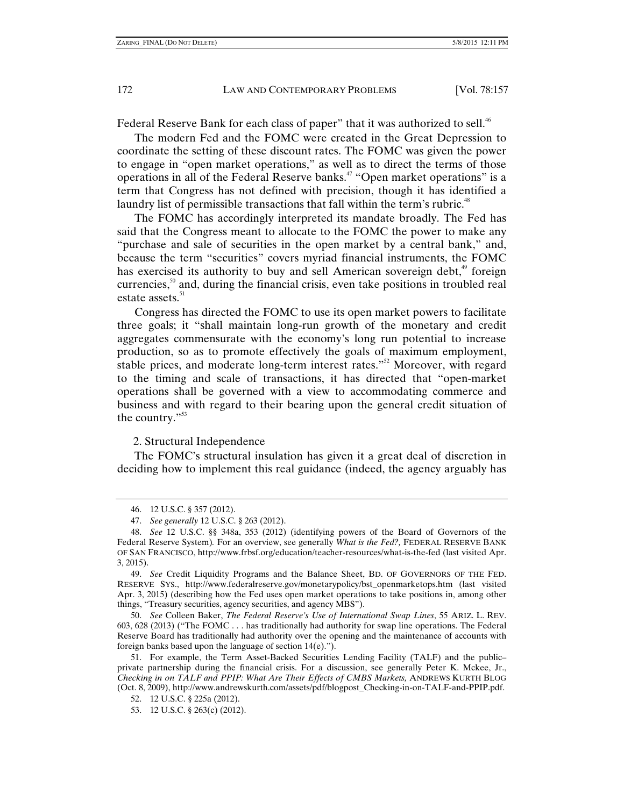Federal Reserve Bank for each class of paper" that it was authorized to sell.<sup>46</sup>

The modern Fed and the FOMC were created in the Great Depression to coordinate the setting of these discount rates. The FOMC was given the power to engage in "open market operations," as well as to direct the terms of those operations in all of the Federal Reserve banks.<sup>47</sup> "Open market operations" is a term that Congress has not defined with precision, though it has identified a laundry list of permissible transactions that fall within the term's rubric.<sup>48</sup>

The FOMC has accordingly interpreted its mandate broadly. The Fed has said that the Congress meant to allocate to the FOMC the power to make any "purchase and sale of securities in the open market by a central bank," and, because the term "securities" covers myriad financial instruments, the FOMC has exercised its authority to buy and sell American sovereign debt, $4^{\circ}$  foreign currencies, $50$  and, during the financial crisis, even take positions in troubled real estate assets.<sup>51</sup>

Congress has directed the FOMC to use its open market powers to facilitate three goals; it "shall maintain long-run growth of the monetary and credit aggregates commensurate with the economy's long run potential to increase production, so as to promote effectively the goals of maximum employment, stable prices, and moderate long-term interest rates."<sup>52</sup> Moreover, with regard to the timing and scale of transactions, it has directed that "open-market operations shall be governed with a view to accommodating commerce and business and with regard to their bearing upon the general credit situation of the country."<sup>53</sup>

2. Structural Independence

The FOMC's structural insulation has given it a great deal of discretion in deciding how to implement this real guidance (indeed, the agency arguably has

 50. *See* Colleen Baker, *The Federal Reserve's Use of International Swap Lines*, 55 ARIZ. L. REV. 603, 628 (2013) ("The FOMC . . . has traditionally had authority for swap line operations. The Federal Reserve Board has traditionally had authority over the opening and the maintenance of accounts with foreign banks based upon the language of section 14(e).").

 <sup>46. 12</sup> U.S.C. § 357 (2012).

 <sup>47.</sup> *See generally* 12 U.S.C. § 263 (2012).

 <sup>48.</sup> *See* 12 U.S.C. §§ 348a, 353 (2012) (identifying powers of the Board of Governors of the Federal Reserve System)*.* For an overview, see generally *What is the Fed?,* FEDERAL RESERVE BANK OF SAN FRANCISCO, http://www.frbsf.org/education/teacher-resources/what-is-the-fed (last visited Apr. 3, 2015).

 <sup>49.</sup> *See* Credit Liquidity Programs and the Balance Sheet, BD. OF GOVERNORS OF THE FED. RESERVE SYS., http://www.federalreserve.gov/monetarypolicy/bst\_openmarketops.htm (last visited Apr. 3, 2015) (describing how the Fed uses open market operations to take positions in, among other things, "Treasury securities, agency securities, and agency MBS").

 <sup>51.</sup> For example, the Term Asset-Backed Securities Lending Facility (TALF) and the public– private partnership during the financial crisis. For a discussion, see generally Peter K. Mckee, Jr., *Checking in on TALF and PPIP: What Are Their Effects of CMBS Markets,* ANDREWS KURTH BLOG (Oct. 8, 2009), http://www.andrewskurth.com/assets/pdf/blogpost\_Checking-in-on-TALF-and-PPIP.pdf.

 <sup>52. 12</sup> U.S.C. § 225a (2012).

 <sup>53. 12</sup> U.S.C. § 263(c) (2012).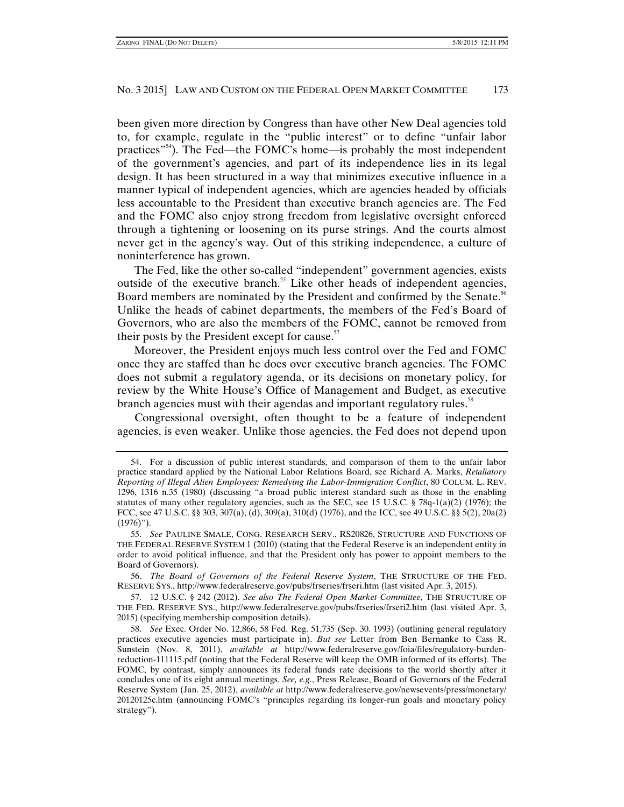been given more direction by Congress than have other New Deal agencies told to, for example, regulate in the "public interest" or to define "unfair labor practices<sup> $n<sup>54</sup>$ ). The Fed—the FOMC's home—is probably the most independent</sup> of the government's agencies, and part of its independence lies in its legal design. It has been structured in a way that minimizes executive influence in a manner typical of independent agencies, which are agencies headed by officials less accountable to the President than executive branch agencies are. The Fed and the FOMC also enjoy strong freedom from legislative oversight enforced through a tightening or loosening on its purse strings. And the courts almost never get in the agency's way. Out of this striking independence, a culture of noninterference has grown.

The Fed, like the other so-called "independent" government agencies, exists outside of the executive branch.<sup>55</sup> Like other heads of independent agencies, Board members are nominated by the President and confirmed by the Senate.<sup>56</sup> Unlike the heads of cabinet departments, the members of the Fed's Board of Governors, who are also the members of the FOMC, cannot be removed from their posts by the President except for cause. $57$ 

Moreover, the President enjoys much less control over the Fed and FOMC once they are staffed than he does over executive branch agencies. The FOMC does not submit a regulatory agenda, or its decisions on monetary policy, for review by the White House's Office of Management and Budget, as executive branch agencies must with their agendas and important regulatory rules.<sup>58</sup>

Congressional oversight, often thought to be a feature of independent agencies, is even weaker. Unlike those agencies, the Fed does not depend upon

 <sup>54.</sup> For a discussion of public interest standards, and comparison of them to the unfair labor practice standard applied by the National Labor Relations Board, see Richard A. Marks, *Retaliatory Reporting of Illegal Alien Employees: Remedying the Labor-Immigration Conflict*, 80 COLUM. L. REV. 1296, 1316 n.35 (1980) (discussing "a broad public interest standard such as those in the enabling statutes of many other regulatory agencies, such as the SEC, see 15 U.S.C.  $\S$  78q-1(a)(2) (1976); the FCC, see 47 U.S.C. §§ 303, 307(a), (d), 309(a), 310(d) (1976), and the ICC, see 49 U.S.C. §§ 5(2), 20a(2)  $(1976)$ ").

 <sup>55.</sup> *See* PAULINE SMALE, CONG. RESEARCH SERV., RS20826, STRUCTURE AND FUNCTIONS OF THE FEDERAL RESERVE SYSTEM 1 (2010) (stating that the Federal Reserve is an independent entity in order to avoid political influence, and that the President only has power to appoint members to the Board of Governors).

 <sup>56.</sup> *The Board of Governors of the Federal Reserve System*, THE STRUCTURE OF THE FED. RESERVE SYS., http://www.federalreserve.gov/pubs/frseries/frseri.htm (last visited Apr. 3, 2015).

 <sup>57. 12</sup> U.S.C. § 242 (2012). *See also The Federal Open Market Committee*, THE STRUCTURE OF THE FED. RESERVE SYS., http://www.federalreserve.gov/pubs/frseries/frseri2.htm (last visited Apr. 3, 2015) (specifying membership composition details).

 <sup>58.</sup> *See* Exec. Order No. 12,866, 58 Fed. Reg. 51,735 (Sep. 30. 1993) (outlining general regulatory practices executive agencies must participate in). *But see* Letter from Ben Bernanke to Cass R. Sunstein (Nov. 8, 2011), *available at* http://www.federalreserve.gov/foia/files/regulatory-burdenreduction-111115.pdf (noting that the Federal Reserve will keep the OMB informed of its efforts). The FOMC, by contrast, simply announces its federal funds rate decisions to the world shortly after it concludes one of its eight annual meetings. *See, e.g.*, Press Release, Board of Governors of the Federal Reserve System (Jan. 25, 2012), *available at* http://www.federalreserve.gov/newsevents/press/monetary/ 20120125c.htm (announcing FOMC's "principles regarding its longer-run goals and monetary policy strategy").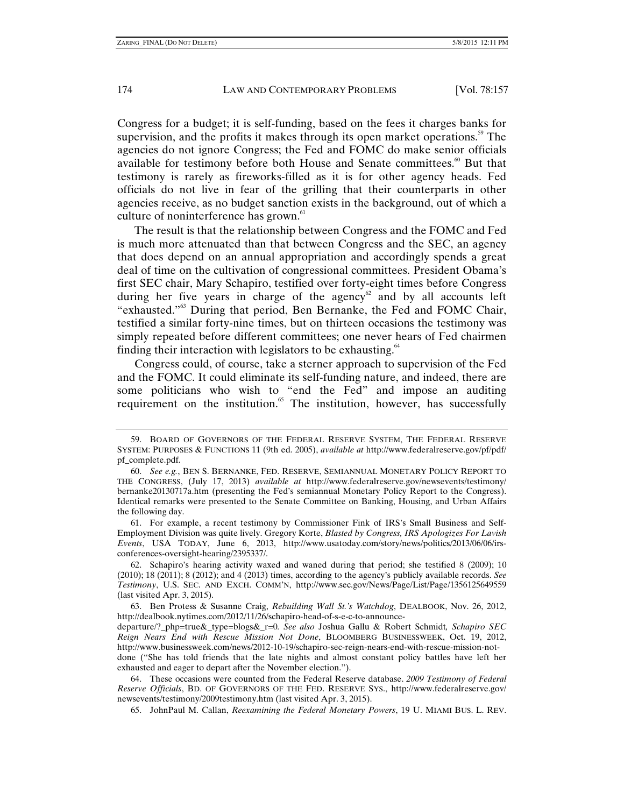Congress for a budget; it is self-funding, based on the fees it charges banks for supervision, and the profits it makes through its open market operations.<sup>59</sup> The agencies do not ignore Congress; the Fed and FOMC do make senior officials available for testimony before both House and Senate committees.<sup> $60$ </sup> But that testimony is rarely as fireworks-filled as it is for other agency heads. Fed officials do not live in fear of the grilling that their counterparts in other agencies receive, as no budget sanction exists in the background, out of which a culture of noninterference has grown.<sup>61</sup>

The result is that the relationship between Congress and the FOMC and Fed is much more attenuated than that between Congress and the SEC, an agency that does depend on an annual appropriation and accordingly spends a great deal of time on the cultivation of congressional committees. President Obama's first SEC chair, Mary Schapiro, testified over forty-eight times before Congress during her five years in charge of the agency<sup>62</sup> and by all accounts left "exhausted."63 During that period, Ben Bernanke, the Fed and FOMC Chair, testified a similar forty-nine times, but on thirteen occasions the testimony was simply repeated before different committees; one never hears of Fed chairmen finding their interaction with legislators to be exhausting. $64$ 

Congress could, of course, take a sterner approach to supervision of the Fed and the FOMC. It could eliminate its self-funding nature, and indeed, there are some politicians who wish to "end the Fed" and impose an auditing requirement on the institution.<sup>65</sup> The institution, however, has successfully

 61. For example, a recent testimony by Commissioner Fink of IRS's Small Business and Self-Employment Division was quite lively. Gregory Korte, *Blasted by Congress, IRS Apologizes For Lavish Events*, USA TODAY, June 6, 2013, http://www.usatoday.com/story/news/politics/2013/06/06/irsconferences-oversight-hearing/2395337/.

 62. Schapiro's hearing activity waxed and waned during that period; she testified 8 (2009); 10 (2010); 18 (2011); 8 (2012); and 4 (2013) times, according to the agency's publicly available records. *See Testimony*, U.S. SEC. AND EXCH. COMM'N, http://www.sec.gov/News/Page/List/Page/1356125649559 (last visited Apr. 3, 2015).

 63. Ben Protess & Susanne Craig, *Rebuilding Wall St.'s Watchdog*, DEALBOOK, Nov. 26, 2012, http://dealbook.nytimes.com/2012/11/26/schapiro-head-of-s-e-c-to-announce-

departure/?\_php=true&\_type=blogs&\_r=0*. See also* Joshua Gallu & Robert Schmidt*, Schapiro SEC Reign Nears End with Rescue Mission Not Done*, BLOOMBERG BUSINESSWEEK, Oct. 19, 2012, http://www.businessweek.com/news/2012-10-19/schapiro-sec-reign-nears-end-with-rescue-mission-not-

done ("She has told friends that the late nights and almost constant policy battles have left her exhausted and eager to depart after the November election.").

 64. These occasions were counted from the Federal Reserve database. *2009 Testimony of Federal Reserve Officials*, BD. OF GOVERNORS OF THE FED. RESERVE SYS., http://www.federalreserve.gov/ newsevents/testimony/2009testimony.htm (last visited Apr. 3, 2015).

65. JohnPaul M. Callan, *Reexamining the Federal Monetary Powers*, 19 U. MIAMI BUS. L. REV.

 <sup>59.</sup> BOARD OF GOVERNORS OF THE FEDERAL RESERVE SYSTEM, THE FEDERAL RESERVE SYSTEM: PURPOSES & FUNCTIONS 11 (9th ed. 2005), *available at* http://www.federalreserve.gov/pf/pdf/ pf\_complete.pdf.

 <sup>60.</sup> *See e.g.*, BEN S. BERNANKE, FED. RESERVE, SEMIANNUAL MONETARY POLICY REPORT TO THE CONGRESS, (July 17, 2013) *available at* http://www.federalreserve.gov/newsevents/testimony/ bernanke20130717a.htm (presenting the Fed's semiannual Monetary Policy Report to the Congress). Identical remarks were presented to the Senate Committee on Banking, Housing, and Urban Affairs the following day.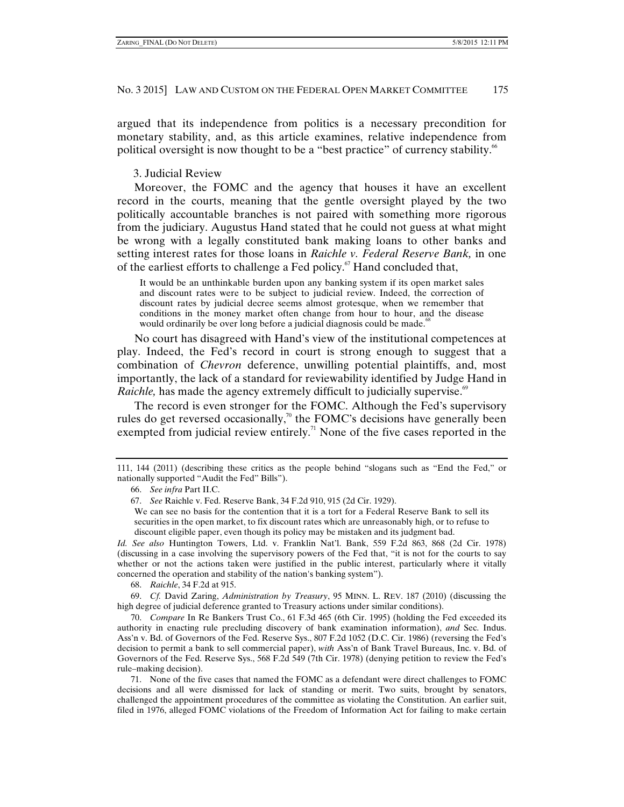argued that its independence from politics is a necessary precondition for monetary stability, and, as this article examines, relative independence from political oversight is now thought to be a "best practice" of currency stability.<sup>66</sup>

# 3. Judicial Review

Moreover, the FOMC and the agency that houses it have an excellent record in the courts, meaning that the gentle oversight played by the two politically accountable branches is not paired with something more rigorous from the judiciary. Augustus Hand stated that he could not guess at what might be wrong with a legally constituted bank making loans to other banks and setting interest rates for those loans in *Raichle v. Federal Reserve Bank,* in one of the earliest efforts to challenge a Fed policy.<sup>67</sup> Hand concluded that,

It would be an unthinkable burden upon any banking system if its open market sales and discount rates were to be subject to judicial review. Indeed, the correction of discount rates by judicial decree seems almost grotesque, when we remember that conditions in the money market often change from hour to hour, and the disease would ordinarily be over long before a judicial diagnosis could be made.<sup>68</sup>

No court has disagreed with Hand's view of the institutional competences at play. Indeed, the Fed's record in court is strong enough to suggest that a combination of *Chevron* deference, unwilling potential plaintiffs, and, most importantly, the lack of a standard for reviewability identified by Judge Hand in *Raichle*, has made the agency extremely difficult to judicially supervise.<sup>69</sup>

The record is even stronger for the FOMC. Although the Fed's supervisory rules do get reversed occasionally,<sup>70</sup> the FOMC's decisions have generally been exempted from judicial review entirely.<sup>71</sup> None of the five cases reported in the

*Id. See also* Huntington Towers, Ltd. v. Franklin Nat'l. Bank, 559 F.2d 863, 868 (2d Cir. 1978) (discussing in a case involving the supervisory powers of the Fed that, "it is not for the courts to say whether or not the actions taken were justified in the public interest, particularly where it vitally concerned the operation and stability of the nation's banking system").

68. *Raichle*, 34 F.2d at 915.

 69. *Cf.* David Zaring, *Administration by Treasury*, 95 MINN. L. REV. 187 (2010) (discussing the high degree of judicial deference granted to Treasury actions under similar conditions).

 70. *Compare* In Re Bankers Trust Co., 61 F.3d 465 (6th Cir. 1995) (holding the Fed exceeded its authority in enacting rule precluding discovery of bank examination information), *and* Sec. Indus. Ass'n v. Bd. of Governors of the Fed. Reserve Sys., 807 F.2d 1052 (D.C. Cir. 1986) (reversing the Fed's decision to permit a bank to sell commercial paper), *with* Ass'n of Bank Travel Bureaus, Inc. v. Bd. of Governors of the Fed. Reserve Sys., 568 F.2d 549 (7th Cir. 1978) (denying petition to review the Fed's rule–making decision).

 71. None of the five cases that named the FOMC as a defendant were direct challenges to FOMC decisions and all were dismissed for lack of standing or merit. Two suits, brought by senators, challenged the appointment procedures of the committee as violating the Constitution. An earlier suit, filed in 1976, alleged FOMC violations of the Freedom of Information Act for failing to make certain

<sup>111, 144 (2011) (</sup>describing these critics as the people behind "slogans such as "End the Fed," or nationally supported "Audit the Fed" Bills").

 <sup>66.</sup> *See infra* Part II.C.

 <sup>67.</sup> *See* Raichle v. Fed. Reserve Bank, 34 F.2d 910, 915 (2d Cir. 1929).

We can see no basis for the contention that it is a tort for a Federal Reserve Bank to sell its securities in the open market, to fix discount rates which are unreasonably high, or to refuse to discount eligible paper, even though its policy may be mistaken and its judgment bad.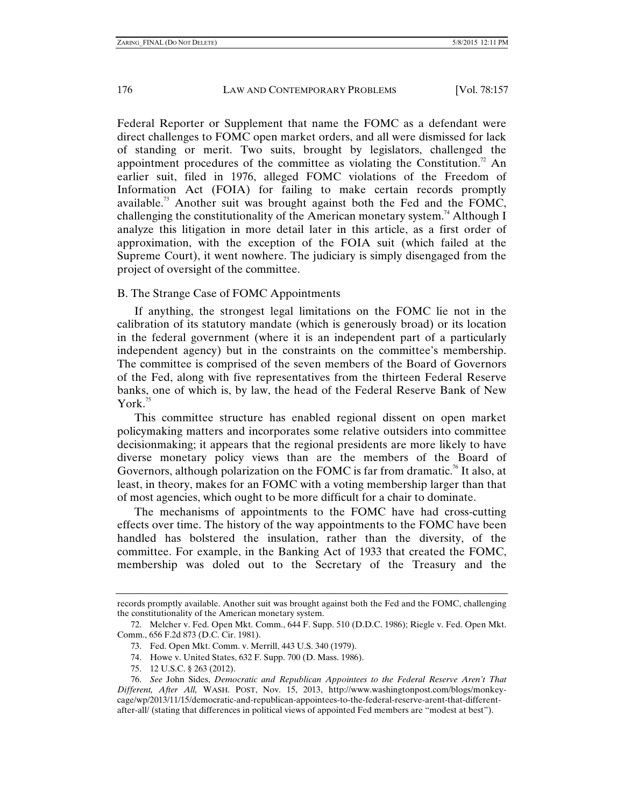Federal Reporter or Supplement that name the FOMC as a defendant were direct challenges to FOMC open market orders, and all were dismissed for lack of standing or merit. Two suits, brought by legislators, challenged the appointment procedures of the committee as violating the Constitution.<sup>72</sup> An earlier suit, filed in 1976, alleged FOMC violations of the Freedom of Information Act (FOIA) for failing to make certain records promptly available.<sup>73</sup> Another suit was brought against both the Fed and the FOMC, challenging the constitutionality of the American monetary system.<sup>74</sup> Although I analyze this litigation in more detail later in this article, as a first order of approximation, with the exception of the FOIA suit (which failed at the Supreme Court), it went nowhere. The judiciary is simply disengaged from the project of oversight of the committee.

# B. The Strange Case of FOMC Appointments

If anything, the strongest legal limitations on the FOMC lie not in the calibration of its statutory mandate (which is generously broad) or its location in the federal government (where it is an independent part of a particularly independent agency) but in the constraints on the committee's membership. The committee is comprised of the seven members of the Board of Governors of the Fed, along with five representatives from the thirteen Federal Reserve banks, one of which is, by law, the head of the Federal Reserve Bank of New York. $75$ 

This committee structure has enabled regional dissent on open market policymaking matters and incorporates some relative outsiders into committee decisionmaking; it appears that the regional presidents are more likely to have diverse monetary policy views than are the members of the Board of Governors, although polarization on the FOMC is far from dramatic.<sup>76</sup> It also, at least, in theory, makes for an FOMC with a voting membership larger than that of most agencies, which ought to be more difficult for a chair to dominate.

The mechanisms of appointments to the FOMC have had cross-cutting effects over time. The history of the way appointments to the FOMC have been handled has bolstered the insulation, rather than the diversity, of the committee. For example, in the Banking Act of 1933 that created the FOMC, membership was doled out to the Secretary of the Treasury and the

- 74. Howe v. United States, 632 F. Supp. 700 (D. Mass. 1986).
- 75. 12 U.S.C. § 263 (2012).

records promptly available. Another suit was brought against both the Fed and the FOMC, challenging the constitutionality of the American monetary system.

 <sup>72.</sup> Melcher v. Fed. Open Mkt. Comm., 644 F. Supp. 510 (D.D.C. 1986); Riegle v. Fed. Open Mkt. Comm., 656 F.2d 873 (D.C. Cir. 1981).

 <sup>73.</sup> Fed. Open Mkt. Comm. v. Merrill, 443 U.S. 340 (1979).

 <sup>76.</sup> *See* John Sides, *Democratic and Republican Appointees to the Federal Reserve Aren't That Different, After All,* WASH. POST, Nov. 15, 2013, http://www.washingtonpost.com/blogs/monkeycage/wp/2013/11/15/democratic-and-republican-appointees-to-the-federal-reserve-arent-that-differentafter-all/ (stating that differences in political views of appointed Fed members are "modest at best").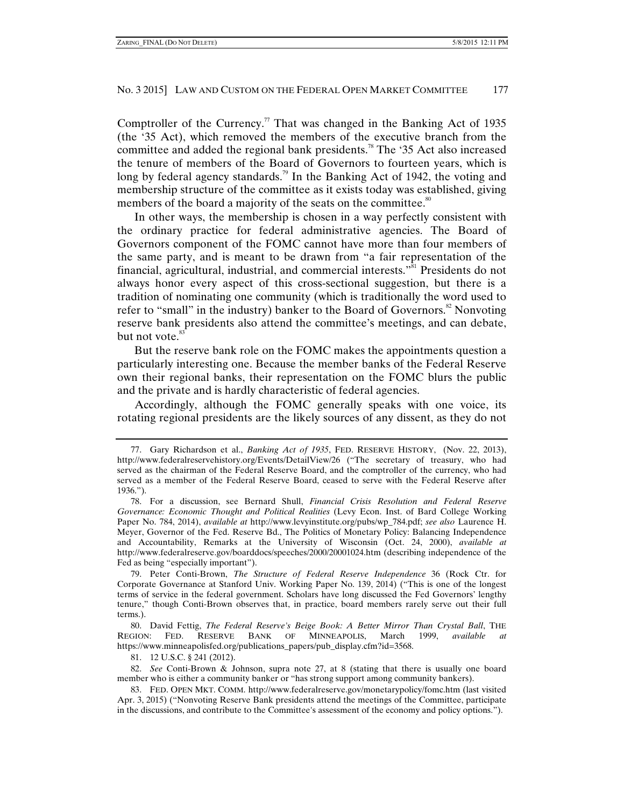Comptroller of the Currency.<sup>77</sup> That was changed in the Banking Act of 1935 (the '35 Act), which removed the members of the executive branch from the committee and added the regional bank presidents.78 The '35 Act also increased the tenure of members of the Board of Governors to fourteen years, which is long by federal agency standards.<sup>79</sup> In the Banking Act of 1942, the voting and membership structure of the committee as it exists today was established, giving members of the board a majority of the seats on the committee.<sup>80</sup>

In other ways, the membership is chosen in a way perfectly consistent with the ordinary practice for federal administrative agencies. The Board of Governors component of the FOMC cannot have more than four members of the same party, and is meant to be drawn from "a fair representation of the financial, agricultural, industrial, and commercial interests. $\mathbf{R}^{31}$  Presidents do not always honor every aspect of this cross-sectional suggestion, but there is a tradition of nominating one community (which is traditionally the word used to refer to "small" in the industry) banker to the Board of Governors.<sup>82</sup> Nonvoting reserve bank presidents also attend the committee's meetings, and can debate, but not vote.<sup>83</sup>

But the reserve bank role on the FOMC makes the appointments question a particularly interesting one. Because the member banks of the Federal Reserve own their regional banks, their representation on the FOMC blurs the public and the private and is hardly characteristic of federal agencies.

Accordingly, although the FOMC generally speaks with one voice, its rotating regional presidents are the likely sources of any dissent, as they do not

 79. Peter Conti-Brown, *The Structure of Federal Reserve Independence* 36 (Rock Ctr. for Corporate Governance at Stanford Univ. Working Paper No. 139, 2014) ("This is one of the longest terms of service in the federal government. Scholars have long discussed the Fed Governors' lengthy tenure," though Conti-Brown observes that, in practice, board members rarely serve out their full terms.).

 80. David Fettig, *The Federal Reserve's Beige Book: A Better Mirror Than Crystal Ball*, THE REGION: FED. RESERVE BANK OF MINNEAPOLIS, March 1999, *available* https://www.minneapolisfed.org/publications\_papers/pub\_display.cfm?id=3568.

 83. FED. OPEN MKT. COMM. http://www.federalreserve.gov/monetarypolicy/fomc.htm (last visited Apr. 3, 2015) ("Nonvoting Reserve Bank presidents attend the meetings of the Committee, participate in the discussions, and contribute to the Committee's assessment of the economy and policy options.").

 <sup>77.</sup> Gary Richardson et al., *Banking Act of 1935*, FED. RESERVE HISTORY, (Nov. 22, 2013), http://www.federalreservehistory.org/Events/DetailView/26 ("The secretary of treasury, who had served as the chairman of the Federal Reserve Board, and the comptroller of the currency, who had served as a member of the Federal Reserve Board, ceased to serve with the Federal Reserve after 1936.").

 <sup>78.</sup> For a discussion, see Bernard Shull, *Financial Crisis Resolution and Federal Reserve Governance: Economic Thought and Political Realities* (Levy Econ. Inst. of Bard College Working Paper No. 784, 2014), *available at* http://www.levyinstitute.org/pubs/wp\_784.pdf; *see also* Laurence H. Meyer, Governor of the Fed. Reserve Bd., The Politics of Monetary Policy: Balancing Independence and Accountability, Remarks at the University of Wisconsin (Oct. 24, 2000), *available at* http://www.federalreserve.gov/boarddocs/speeches/2000/20001024.htm (describing independence of the Fed as being "especially important").

 <sup>81. 12</sup> U.S.C. § 241 (2012).

 <sup>82.</sup> *See* Conti-Brown & Johnson, supra note 27, at 8 (stating that there is usually one board member who is either a community banker or "has strong support among community bankers).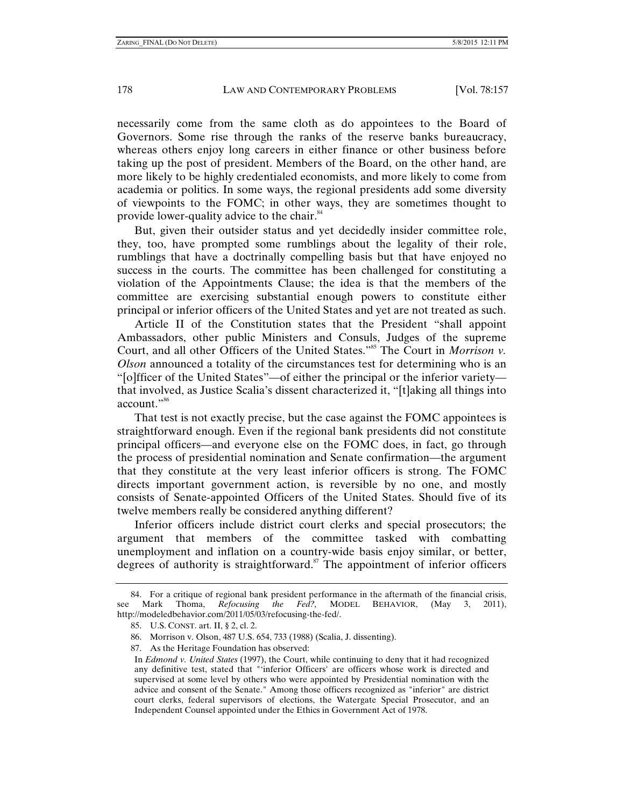necessarily come from the same cloth as do appointees to the Board of Governors. Some rise through the ranks of the reserve banks bureaucracy, whereas others enjoy long careers in either finance or other business before taking up the post of president. Members of the Board, on the other hand, are more likely to be highly credentialed economists, and more likely to come from academia or politics. In some ways, the regional presidents add some diversity of viewpoints to the FOMC; in other ways, they are sometimes thought to provide lower-quality advice to the chair.<sup>84</sup>

But, given their outsider status and yet decidedly insider committee role, they, too, have prompted some rumblings about the legality of their role, rumblings that have a doctrinally compelling basis but that have enjoyed no success in the courts. The committee has been challenged for constituting a violation of the Appointments Clause; the idea is that the members of the committee are exercising substantial enough powers to constitute either principal or inferior officers of the United States and yet are not treated as such.

Article II of the Constitution states that the President "shall appoint Ambassadors, other public Ministers and Consuls, Judges of the supreme Court, and all other Officers of the United States."<sup>85</sup> The Court in *Morrison v*. *Olson* announced a totality of the circumstances test for determining who is an "[o]fficer of the United States"—of either the principal or the inferior variety that involved, as Justice Scalia's dissent characterized it, "[t]aking all things into account."<sup>86</sup>

That test is not exactly precise, but the case against the FOMC appointees is straightforward enough. Even if the regional bank presidents did not constitute principal officers—and everyone else on the FOMC does, in fact, go through the process of presidential nomination and Senate confirmation—the argument that they constitute at the very least inferior officers is strong. The FOMC directs important government action, is reversible by no one, and mostly consists of Senate-appointed Officers of the United States. Should five of its twelve members really be considered anything different?

Inferior officers include district court clerks and special prosecutors; the argument that members of the committee tasked with combatting unemployment and inflation on a country-wide basis enjoy similar, or better, degrees of authority is straightforward.<sup>87</sup> The appointment of inferior officers

<sup>84.</sup> For a critique of regional bank president performance in the aftermath of the financial crisis, Mark Thoma, *Refocusing the Fed?*, MODEL BEHAVIOR, (May 3, 2011), see Mark Thoma, *Refocusing the Fed?,* MODEL BEHAVIOR, (May 3, 2011), http://modeledbehavior.com/2011/05/03/refocusing-the-fed/.

 <sup>85.</sup> U.S. CONST. art. II, § 2, cl. 2.

 <sup>86.</sup> Morrison v. Olson, 487 U.S. 654, 733 (1988) (Scalia, J. dissenting).

 <sup>87.</sup> As the Heritage Foundation has observed:

In *Edmond v. United States* (1997), the Court, while continuing to deny that it had recognized any definitive test, stated that "'inferior Officers' are officers whose work is directed and supervised at some level by others who were appointed by Presidential nomination with the advice and consent of the Senate." Among those officers recognized as "inferior" are district court clerks, federal supervisors of elections, the Watergate Special Prosecutor, and an Independent Counsel appointed under the Ethics in Government Act of 1978.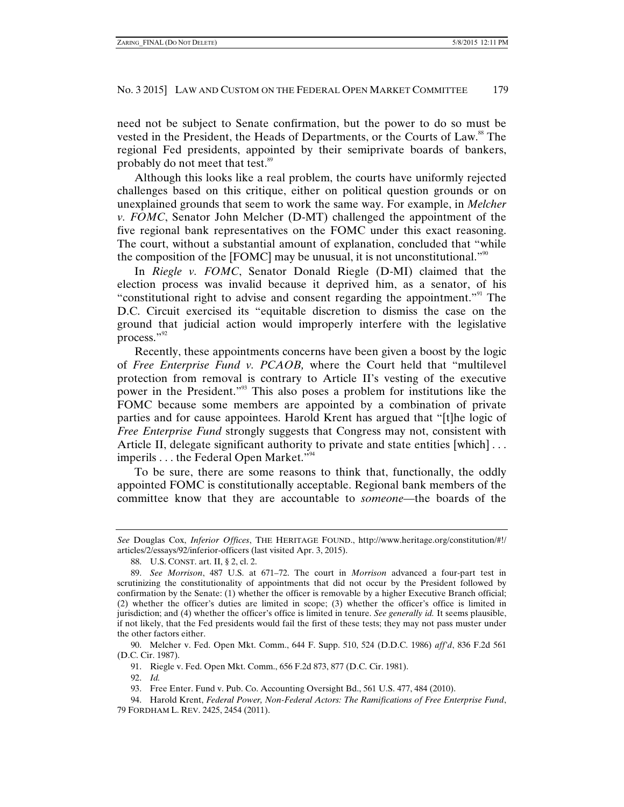need not be subject to Senate confirmation, but the power to do so must be vested in the President, the Heads of Departments, or the Courts of Law.<sup>88</sup> The regional Fed presidents, appointed by their semiprivate boards of bankers, probably do not meet that test.<sup>89</sup>

Although this looks like a real problem, the courts have uniformly rejected challenges based on this critique, either on political question grounds or on unexplained grounds that seem to work the same way. For example, in *Melcher v. FOMC*, Senator John Melcher (D-MT) challenged the appointment of the five regional bank representatives on the FOMC under this exact reasoning. The court, without a substantial amount of explanation, concluded that "while the composition of the [FOMC] may be unusual, it is not unconstitutional.<sup> $\mathfrak{v}^{\mathfrak{g}}$ </sup>

In *Riegle v. FOMC*, Senator Donald Riegle (D-MI) claimed that the election process was invalid because it deprived him, as a senator, of his "constitutional right to advise and consent regarding the appointment."<sup>91</sup> The D.C. Circuit exercised its "equitable discretion to dismiss the case on the ground that judicial action would improperly interfere with the legislative process."<sup>92</sup>

Recently, these appointments concerns have been given a boost by the logic of *Free Enterprise Fund v. PCAOB,* where the Court held that "multilevel protection from removal is contrary to Article II's vesting of the executive power in the President."93 This also poses a problem for institutions like the FOMC because some members are appointed by a combination of private parties and for cause appointees. Harold Krent has argued that "[t]he logic of *Free Enterprise Fund* strongly suggests that Congress may not, consistent with Article II, delegate significant authority to private and state entities [which]... imperils . . . the Federal Open Market."<sup>94</sup>

To be sure, there are some reasons to think that, functionally, the oddly appointed FOMC is constitutionally acceptable. Regional bank members of the committee know that they are accountable to *someone—*the boards of the

- 91. Riegle v. Fed. Open Mkt. Comm., 656 F.2d 873, 877 (D.C. Cir. 1981).
- 92. *Id.*

*See* Douglas Cox, *Inferior Offices*, THE HERITAGE FOUND., http://www.heritage.org/constitution/#!/ articles/2/essays/92/inferior-officers (last visited Apr. 3, 2015).

 <sup>88.</sup> U.S. CONST. art. II, § 2, cl. 2.

 <sup>89.</sup> *See Morrison*, 487 U.S. at 671–72. The court in *Morrison* advanced a four-part test in scrutinizing the constitutionality of appointments that did not occur by the President followed by confirmation by the Senate: (1) whether the officer is removable by a higher Executive Branch official; (2) whether the officer's duties are limited in scope; (3) whether the officer's office is limited in jurisdiction; and (4) whether the officer's office is limited in tenure. *See generally id.* It seems plausible, if not likely, that the Fed presidents would fail the first of these tests; they may not pass muster under the other factors either.

 <sup>90.</sup> Melcher v. Fed. Open Mkt. Comm., 644 F. Supp. 510, 524 (D.D.C. 1986) *aff'd*, 836 F.2d 561 (D.C. Cir. 1987).

 <sup>93.</sup> Free Enter. Fund v. Pub. Co. Accounting Oversight Bd., 561 U.S. 477, 484 (2010).

 <sup>94.</sup> Harold Krent, *Federal Power, Non-Federal Actors: The Ramifications of Free Enterprise Fund*, 79 FORDHAM L. REV. 2425, 2454 (2011).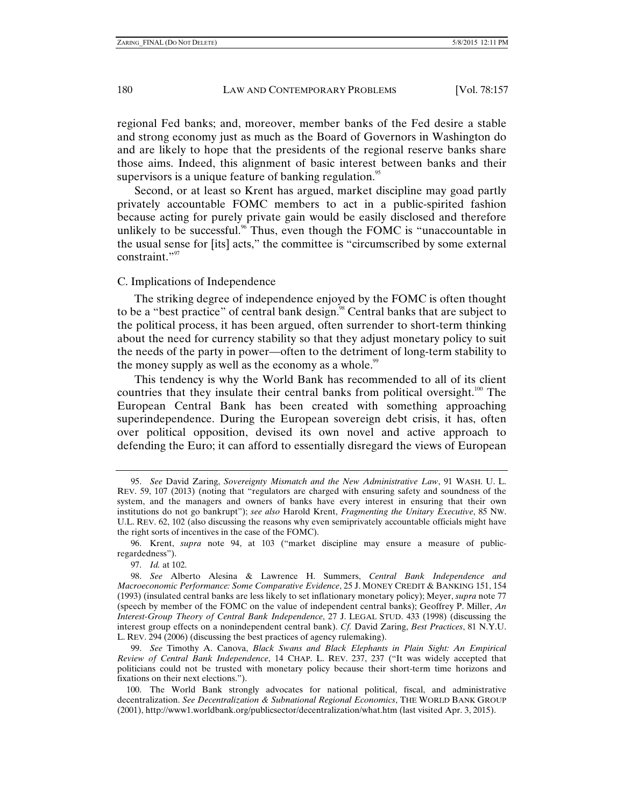regional Fed banks; and, moreover, member banks of the Fed desire a stable and strong economy just as much as the Board of Governors in Washington do and are likely to hope that the presidents of the regional reserve banks share those aims. Indeed, this alignment of basic interest between banks and their supervisors is a unique feature of banking regulation.<sup>95</sup>

Second, or at least so Krent has argued, market discipline may goad partly privately accountable FOMC members to act in a public-spirited fashion because acting for purely private gain would be easily disclosed and therefore unlikely to be successful.<sup>96</sup> Thus, even though the FOMC is "unaccountable in the usual sense for [its] acts," the committee is "circumscribed by some external constraint."<sup>97</sup>

#### C. Implications of Independence

The striking degree of independence enjoyed by the FOMC is often thought to be a "best practice" of central bank design.<sup>98</sup> Central banks that are subject to the political process, it has been argued, often surrender to short-term thinking about the need for currency stability so that they adjust monetary policy to suit the needs of the party in power—often to the detriment of long-term stability to the money supply as well as the economy as a whole.<sup>99</sup>

This tendency is why the World Bank has recommended to all of its client countries that they insulate their central banks from political oversight.<sup>100</sup> The European Central Bank has been created with something approaching superindependence. During the European sovereign debt crisis, it has, often over political opposition, devised its own novel and active approach to defending the Euro; it can afford to essentially disregard the views of European

97. *Id.* at 102.

 <sup>95.</sup> *See* David Zaring, *Sovereignty Mismatch and the New Administrative Law*, 91 WASH. U. L. REV. 59, 107 (2013) (noting that "regulators are charged with ensuring safety and soundness of the system, and the managers and owners of banks have every interest in ensuring that their own institutions do not go bankrupt"); *see also* Harold Krent, *Fragmenting the Unitary Executive*, 85 NW. U.L. REV. 62, 102 (also discussing the reasons why even semiprivately accountable officials might have the right sorts of incentives in the case of the FOMC).

 <sup>96.</sup> Krent, *supra* note 94, at 103 ("market discipline may ensure a measure of publicregardedness").

 <sup>98.</sup> *See* Alberto Alesina & Lawrence H. Summers, *Central Bank Independence and Macroeconomic Performance: Some Comparative Evidence*, 25 J. MONEY CREDIT & BANKING 151, 154 (1993) (insulated central banks are less likely to set inflationary monetary policy); Meyer, *supra* note 77 (speech by member of the FOMC on the value of independent central banks); Geoffrey P. Miller, *An Interest-Group Theory of Central Bank Independence*, 27 J. LEGAL STUD. 433 (1998) (discussing the interest group effects on a nonindependent central bank). *Cf.* David Zaring, *Best Practices*, 81 N.Y.U. L. REV. 294 (2006) (discussing the best practices of agency rulemaking).

 <sup>99.</sup> *See* Timothy A. Canova, *Black Swans and Black Elephants in Plain Sight: An Empirical Review of Central Bank Independence*, 14 CHAP. L. REV. 237, 237 ("It was widely accepted that politicians could not be trusted with monetary policy because their short-term time horizons and fixations on their next elections.").

 <sup>100.</sup> The World Bank strongly advocates for national political, fiscal, and administrative decentralization. *See Decentralization & Subnational Regional Economics*, THE WORLD BANK GROUP (2001), http://www1.worldbank.org/publicsector/decentralization/what.htm (last visited Apr. 3, 2015).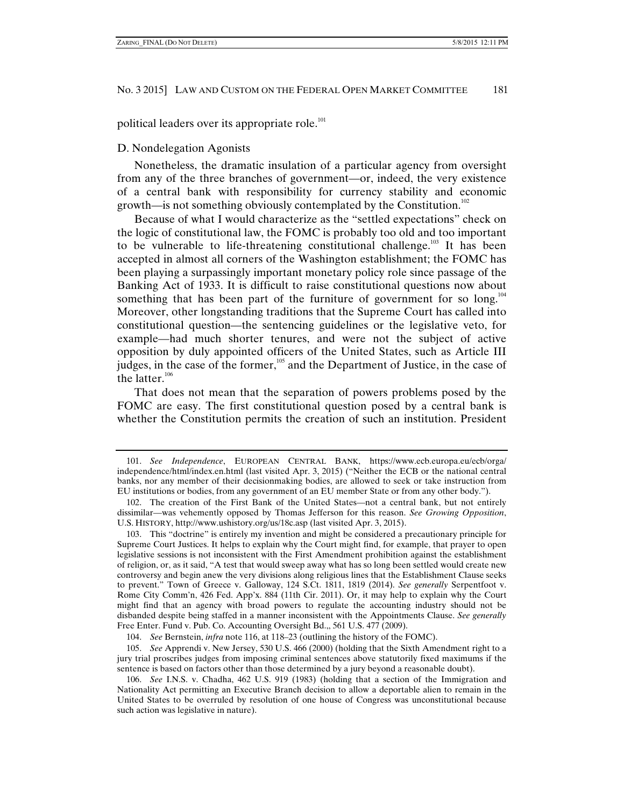political leaders over its appropriate role.<sup>101</sup>

#### D. Nondelegation Agonists

Nonetheless, the dramatic insulation of a particular agency from oversight from any of the three branches of government—or, indeed, the very existence of a central bank with responsibility for currency stability and economic growth—is not something obviously contemplated by the Constitution.<sup>102</sup>

Because of what I would characterize as the "settled expectations" check on the logic of constitutional law, the FOMC is probably too old and too important to be vulnerable to life-threatening constitutional challenge.<sup>103</sup> It has been accepted in almost all corners of the Washington establishment; the FOMC has been playing a surpassingly important monetary policy role since passage of the Banking Act of 1933. It is difficult to raise constitutional questions now about something that has been part of the furniture of government for so long.<sup>104</sup> Moreover, other longstanding traditions that the Supreme Court has called into constitutional question—the sentencing guidelines or the legislative veto, for example—had much shorter tenures, and were not the subject of active opposition by duly appointed officers of the United States, such as Article III judges, in the case of the former, $105$  and the Department of Justice, in the case of the latter. $106$ 

That does not mean that the separation of powers problems posed by the FOMC are easy. The first constitutional question posed by a central bank is whether the Constitution permits the creation of such an institution. President

104. *See* Bernstein, *infra* note 116, at 118–23 (outlining the history of the FOMC).

 105. *See* Apprendi v. New Jersey, 530 U.S. 466 (2000) (holding that the Sixth Amendment right to a jury trial proscribes judges from imposing criminal sentences above statutorily fixed maximums if the sentence is based on factors other than those determined by a jury beyond a reasonable doubt).

 <sup>101.</sup> *See Independence*, EUROPEAN CENTRAL BANK, https://www.ecb.europa.eu/ecb/orga/ independence/html/index.en.html (last visited Apr. 3, 2015) ("Neither the ECB or the national central banks, nor any member of their decisionmaking bodies, are allowed to seek or take instruction from EU institutions or bodies, from any government of an EU member State or from any other body.").

 <sup>102.</sup> The creation of the First Bank of the United States—not a central bank, but not entirely dissimilar—was vehemently opposed by Thomas Jefferson for this reason. *See Growing Opposition*, U.S. HISTORY, http://www.ushistory.org/us/18c.asp (last visited Apr. 3, 2015).

 <sup>103.</sup> This "doctrine" is entirely my invention and might be considered a precautionary principle for Supreme Court Justices. It helps to explain why the Court might find, for example, that prayer to open legislative sessions is not inconsistent with the First Amendment prohibition against the establishment of religion, or, as it said, "A test that would sweep away what has so long been settled would create new controversy and begin anew the very divisions along religious lines that the Establishment Clause seeks to prevent." Town of Greece v. Galloway, 124 S.Ct. 1811, 1819 (2014). *See generally* Serpentfoot v. Rome City Comm'n, 426 Fed. App'x. 884 (11th Cir. 2011). Or, it may help to explain why the Court might find that an agency with broad powers to regulate the accounting industry should not be disbanded despite being staffed in a manner inconsistent with the Appointments Clause. *See generally* Free Enter. Fund v. Pub. Co. Accounting Oversight Bd.,, 561 U.S. 477 (2009).

 <sup>106.</sup> *See* I.N.S. v. Chadha, 462 U.S. 919 (1983) (holding that a section of the Immigration and Nationality Act permitting an Executive Branch decision to allow a deportable alien to remain in the United States to be overruled by resolution of one house of Congress was unconstitutional because such action was legislative in nature).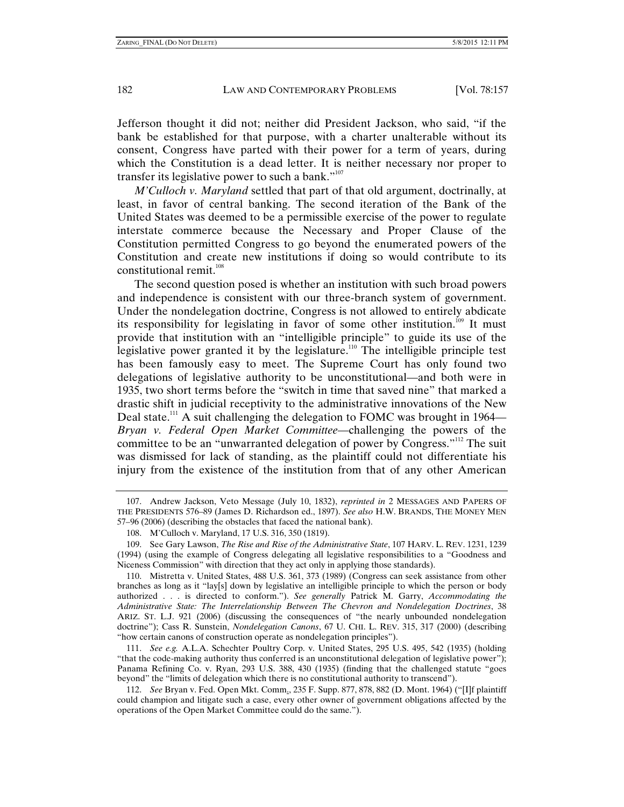Jefferson thought it did not; neither did President Jackson, who said, "if the bank be established for that purpose, with a charter unalterable without its consent, Congress have parted with their power for a term of years, during which the Constitution is a dead letter. It is neither necessary nor proper to transfer its legislative power to such a bank." $107$ 

*M'Culloch v. Maryland* settled that part of that old argument, doctrinally, at least, in favor of central banking. The second iteration of the Bank of the United States was deemed to be a permissible exercise of the power to regulate interstate commerce because the Necessary and Proper Clause of the Constitution permitted Congress to go beyond the enumerated powers of the Constitution and create new institutions if doing so would contribute to its constitutional remit. $108$ 

The second question posed is whether an institution with such broad powers and independence is consistent with our three-branch system of government. Under the nondelegation doctrine, Congress is not allowed to entirely abdicate its responsibility for legislating in favor of some other institution.<sup>109</sup> It must provide that institution with an "intelligible principle" to guide its use of the legislative power granted it by the legislature.110 The intelligible principle test has been famously easy to meet. The Supreme Court has only found two delegations of legislative authority to be unconstitutional—and both were in 1935, two short terms before the "switch in time that saved nine" that marked a drastic shift in judicial receptivity to the administrative innovations of the New Deal state.<sup>111</sup> A suit challenging the delegation to FOMC was brought in 1964— *Bryan v. Federal Open Market Committee*—challenging the powers of the committee to be an "unwarranted delegation of power by Congress."112 The suit was dismissed for lack of standing, as the plaintiff could not differentiate his injury from the existence of the institution from that of any other American

 112. *See* Bryan v. Fed. Open Mkt. Comm., 235 F. Supp. 877, 878, 882 (D. Mont. 1964) ("[I]f plaintiff could champion and litigate such a case, every other owner of government obligations affected by the operations of the Open Market Committee could do the same.").

 <sup>107.</sup> Andrew Jackson, Veto Message (July 10, 1832), *reprinted in* 2 MESSAGES AND PAPERS OF THE PRESIDENTS 576–89 (James D. Richardson ed., 1897). *See also* H.W. BRANDS, THE MONEY MEN 57–96 (2006) (describing the obstacles that faced the national bank).

 <sup>108.</sup> M'Culloch v. Maryland, 17 U.S. 316, 350 (1819).

 <sup>109.</sup> See Gary Lawson, *The Rise and Rise of the Administrative State*, 107 HARV. L. REV. 1231, 1239 (1994) (using the example of Congress delegating all legislative responsibilities to a "Goodness and Niceness Commission" with direction that they act only in applying those standards).

 <sup>110.</sup> Mistretta v. United States, 488 U.S. 361, 373 (1989) (Congress can seek assistance from other branches as long as it "lay[s] down by legislative an intelligible principle to which the person or body authorized . . . is directed to conform."). *See generally* Patrick M. Garry, *Accommodating the Administrative State: The Interrelationship Between The Chevron and Nondelegation Doctrines*, 38 ARIZ. ST. L.J. 921 (2006) (discussing the consequences of "the nearly unbounded nondelegation doctrine"); Cass R. Sunstein, *Nondelegation Canons*, 67 U. CHI. L. REV. 315, 317 (2000) (describing "how certain canons of construction operate as nondelegation principles").

 <sup>111.</sup> *See e.g.* A.L.A. Schechter Poultry Corp. v. United States, 295 U.S. 495, 542 (1935) (holding "that the code-making authority thus conferred is an unconstitutional delegation of legislative power"); Panama Refining Co. v. Ryan, 293 U.S. 388, 430 (1935) (finding that the challenged statute "goes beyond" the "limits of delegation which there is no constitutional authority to transcend").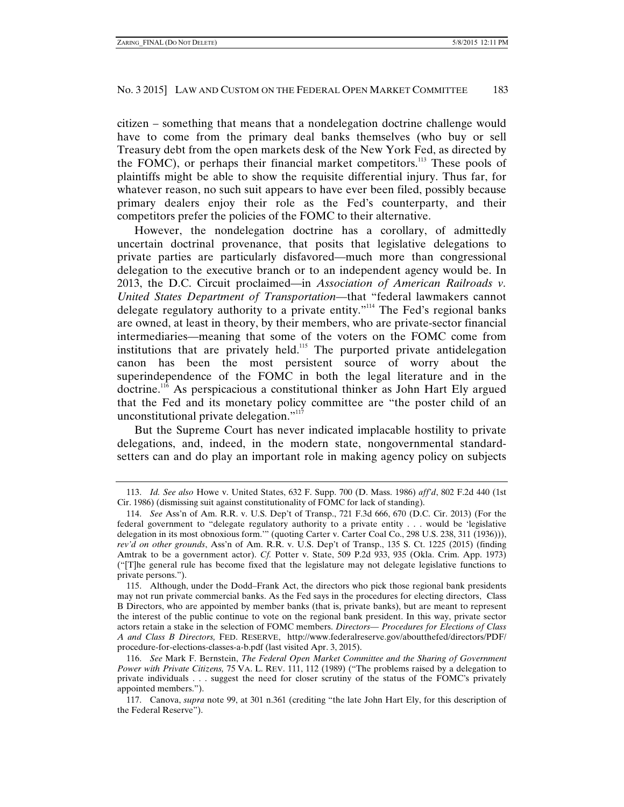citizen – something that means that a nondelegation doctrine challenge would have to come from the primary deal banks themselves (who buy or sell Treasury debt from the open markets desk of the New York Fed, as directed by the FOMC), or perhaps their financial market competitors.<sup>113</sup> These pools of plaintiffs might be able to show the requisite differential injury. Thus far, for whatever reason, no such suit appears to have ever been filed, possibly because primary dealers enjoy their role as the Fed's counterparty, and their competitors prefer the policies of the FOMC to their alternative.

However, the nondelegation doctrine has a corollary, of admittedly uncertain doctrinal provenance, that posits that legislative delegations to private parties are particularly disfavored—much more than congressional delegation to the executive branch or to an independent agency would be. In 2013, the D.C. Circuit proclaimed—in *Association of American Railroads v. United States Department of Transportation—*that "federal lawmakers cannot delegate regulatory authority to a private entity."<sup>114</sup> The Fed's regional banks are owned, at least in theory, by their members, who are private-sector financial intermediaries—meaning that some of the voters on the FOMC come from institutions that are privately held.<sup>115</sup> The purported private antidelegation canon has been the most persistent source of worry about the superindependence of the FOMC in both the legal literature and in the doctrine.116 As perspicacious a constitutional thinker as John Hart Ely argued that the Fed and its monetary policy committee are "the poster child of an unconstitutional private delegation."<sup>117</sup>

But the Supreme Court has never indicated implacable hostility to private delegations, and, indeed, in the modern state, nongovernmental standardsetters can and do play an important role in making agency policy on subjects

 <sup>113.</sup> *Id. See also* Howe v. United States, 632 F. Supp. 700 (D. Mass. 1986) *aff'd*, 802 F.2d 440 (1st Cir. 1986) (dismissing suit against constitutionality of FOMC for lack of standing).

 <sup>114.</sup> *See* Ass'n of Am. R.R. v. U.S. Dep't of Transp., 721 F.3d 666, 670 (D.C. Cir. 2013) (For the federal government to "delegate regulatory authority to a private entity . . . would be 'legislative delegation in its most obnoxious form.'" (quoting Carter v. Carter Coal Co., 298 U.S. 238, 311 (1936))), *rev'd on other grounds*, Ass'n of Am. R.R. v. U.S. Dep't of Transp., 135 S. Ct. 1225 (2015) (finding Amtrak to be a government actor). *Cf.* Potter v. State, 509 P.2d 933, 935 (Okla. Crim. App. 1973) ("[T]he general rule has become fixed that the legislature may not delegate legislative functions to private persons.").

 <sup>115.</sup> Although, under the Dodd–Frank Act, the directors who pick those regional bank presidents may not run private commercial banks. As the Fed says in the procedures for electing directors, Class B Directors, who are appointed by member banks (that is, private banks), but are meant to represent the interest of the public continue to vote on the regional bank president. In this way, private sector actors retain a stake in the selection of FOMC members. *Directors–– Procedures for Elections of Class A and Class B Directors,* FED. RESERVE, http://www.federalreserve.gov/aboutthefed/directors/PDF/ procedure-for-elections-classes-a-b.pdf (last visited Apr. 3, 2015).

 <sup>116.</sup> *See* Mark F. Bernstein, *The Federal Open Market Committee and the Sharing of Government Power with Private Citizens,* 75 VA. L. REV. 111, 112 (1989) ("The problems raised by a delegation to private individuals . . . suggest the need for closer scrutiny of the status of the FOMC's privately appointed members.").

 <sup>117.</sup> Canova, *supra* note 99, at 301 n.361 (crediting "the late John Hart Ely, for this description of the Federal Reserve").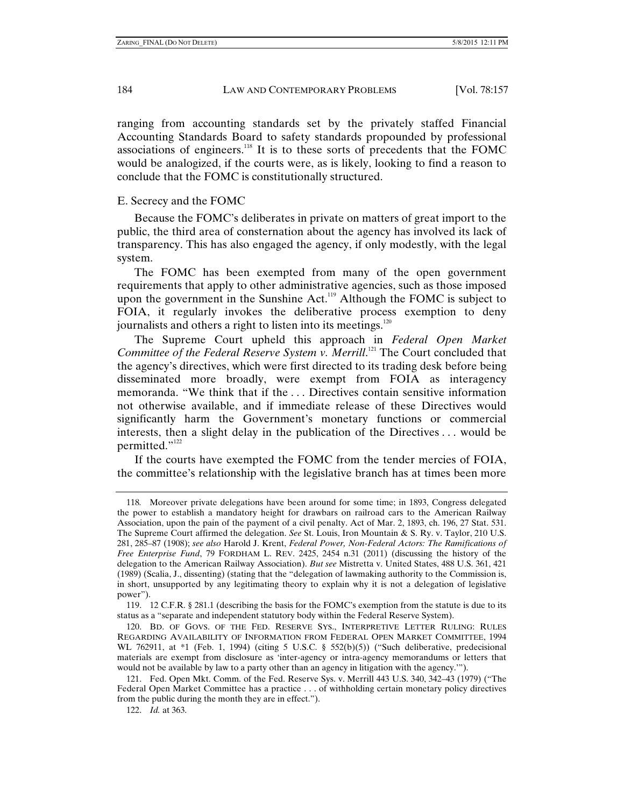ranging from accounting standards set by the privately staffed Financial Accounting Standards Board to safety standards propounded by professional associations of engineers.118 It is to these sorts of precedents that the FOMC would be analogized, if the courts were, as is likely, looking to find a reason to conclude that the FOMC is constitutionally structured.

# E. Secrecy and the FOMC

Because the FOMC's deliberates in private on matters of great import to the public, the third area of consternation about the agency has involved its lack of transparency. This has also engaged the agency, if only modestly, with the legal system.

The FOMC has been exempted from many of the open government requirements that apply to other administrative agencies, such as those imposed upon the government in the Sunshine Act.<sup>119</sup> Although the FOMC is subject to FOIA, it regularly invokes the deliberative process exemption to deny journalists and others a right to listen into its meetings.<sup>120</sup>

The Supreme Court upheld this approach in *Federal Open Market*  Committee of the Federal Reserve System v. Merrill.<sup>121</sup> The Court concluded that the agency's directives, which were first directed to its trading desk before being disseminated more broadly, were exempt from FOIA as interagency memoranda. "We think that if the . . . Directives contain sensitive information not otherwise available, and if immediate release of these Directives would significantly harm the Government's monetary functions or commercial interests, then a slight delay in the publication of the Directives . . . would be permitted."<sup>122</sup>

If the courts have exempted the FOMC from the tender mercies of FOIA, the committee's relationship with the legislative branch has at times been more

<sup>118</sup>*.* Moreover private delegations have been around for some time; in 1893, Congress delegated the power to establish a mandatory height for drawbars on railroad cars to the American Railway Association, upon the pain of the payment of a civil penalty. Act of Mar. 2, 1893, ch. 196, 27 Stat. 531. The Supreme Court affirmed the delegation. *See* St. Louis, Iron Mountain & S. Ry. v. Taylor, 210 U.S. 281, 285–87 (1908); *see also* Harold J. Krent, *Federal Power, Non-Federal Actors: The Ramifications of Free Enterprise Fund*, 79 FORDHAM L. REV. 2425, 2454 n.31 (2011) (discussing the history of the delegation to the American Railway Association). *But see* Mistretta v. United States, 488 U.S. 361, 421 (1989) (Scalia, J., dissenting) (stating that the "delegation of lawmaking authority to the Commission is, in short, unsupported by any legitimating theory to explain why it is not a delegation of legislative power").

 <sup>119. 12</sup> C.F.R. § 281.1 (describing the basis for the FOMC's exemption from the statute is due to its status as a "separate and independent statutory body within the Federal Reserve System).

 <sup>120.</sup> BD. OF GOVS. OF THE FED. RESERVE SYS., INTERPRETIVE LETTER RULING: RULES REGARDING AVAILABILITY OF INFORMATION FROM FEDERAL OPEN MARKET COMMITTEE, 1994 WL 762911, at \*1 (Feb. 1, 1994) (citing 5 U.S.C. § 552(b)(5)) ("Such deliberative, predecisional materials are exempt from disclosure as 'inter-agency or intra-agency memorandums or letters that would not be available by law to a party other than an agency in litigation with the agency.'").

 <sup>121.</sup> Fed. Open Mkt. Comm. of the Fed. Reserve Sys. v. Merrill 443 U.S. 340, 342–43 (1979) ("The Federal Open Market Committee has a practice . . . of withholding certain monetary policy directives from the public during the month they are in effect.").

 <sup>122.</sup> *Id.* at 363.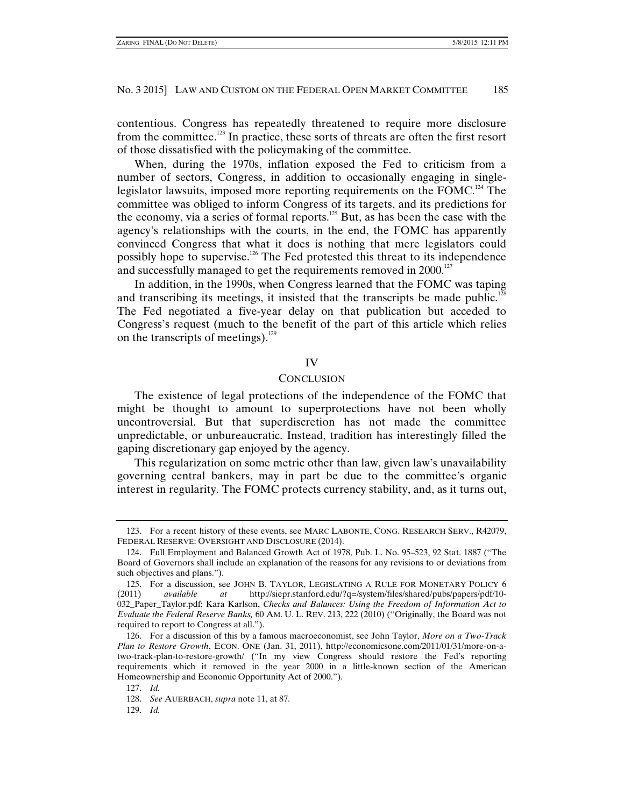contentious. Congress has repeatedly threatened to require more disclosure from the committee.<sup>123</sup> In practice, these sorts of threats are often the first resort of those dissatisfied with the policymaking of the committee.

When, during the 1970s, inflation exposed the Fed to criticism from a number of sectors, Congress, in addition to occasionally engaging in singlelegislator lawsuits, imposed more reporting requirements on the FOMC.124 The committee was obliged to inform Congress of its targets, and its predictions for the economy, via a series of formal reports.125 But, as has been the case with the agency's relationships with the courts, in the end, the FOMC has apparently convinced Congress that what it does is nothing that mere legislators could possibly hope to supervise.126 The Fed protested this threat to its independence and successfully managed to get the requirements removed in 2000.<sup>127</sup>

In addition, in the 1990s, when Congress learned that the FOMC was taping and transcribing its meetings, it insisted that the transcripts be made public.<sup>128</sup> The Fed negotiated a five-year delay on that publication but acceded to Congress's request (much to the benefit of the part of this article which relies on the transcripts of meetings). $129$ 

#### IV

# **CONCLUSION**

The existence of legal protections of the independence of the FOMC that might be thought to amount to superprotections have not been wholly uncontroversial. But that superdiscretion has not made the committee unpredictable, or unbureaucratic. Instead, tradition has interestingly filled the gaping discretionary gap enjoyed by the agency.

This regularization on some metric other than law, given law's unavailability governing central bankers, may in part be due to the committee's organic interest in regularity. The FOMC protects currency stability, and, as it turns out,

 <sup>123.</sup> For a recent history of these events, see MARC LABONTE, CONG. RESEARCH SERV., R42079, FEDERAL RESERVE: OVERSIGHT AND DISCLOSURE (2014).

 <sup>124.</sup> Full Employment and Balanced Growth Act of 1978, Pub. L. No. 95–523, 92 Stat. 1887 ("The Board of Governors shall include an explanation of the reasons for any revisions to or deviations from such objectives and plans.").

 <sup>125.</sup> For a discussion, see JOHN B. TAYLOR, LEGISLATING A RULE FOR MONETARY POLICY 6 (2011) *available at* http://siepr.stanford.edu/?q=/system/files/shared/pubs/papers/pdf/10- 032\_Paper\_Taylor.pdf; Kara Karlson, *Checks and Balances: Using the Freedom of Information Act to Evaluate the Federal Reserve Banks,* 60 AM. U. L. REV. 213, 222 (2010) ("Originally, the Board was not required to report to Congress at all.").

 <sup>126.</sup> For a discussion of this by a famous macroeconomist, see John Taylor, *More on a Two-Track Plan to Restore Growth*, ECON. ONE (Jan. 31, 2011), http://economicsone.com/2011/01/31/more-on-atwo-track-plan-to-restore-growth/ ("In my view Congress should restore the Fed's reporting requirements which it removed in the year 2000 in a little-known section of the American Homeownership and Economic Opportunity Act of 2000.").

 <sup>127.</sup> *Id.* 

 <sup>128.</sup> *See* AUERBACH, *supra* note 11, at 87.

 <sup>129.</sup> *Id.*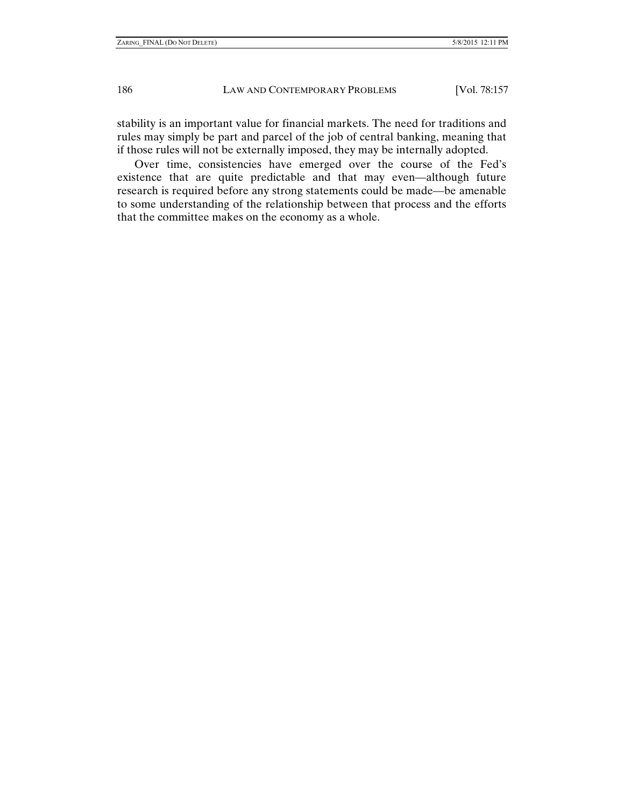stability is an important value for financial markets. The need for traditions and rules may simply be part and parcel of the job of central banking, meaning that if those rules will not be externally imposed, they may be internally adopted.

Over time, consistencies have emerged over the course of the Fed's existence that are quite predictable and that may even—although future research is required before any strong statements could be made—be amenable to some understanding of the relationship between that process and the efforts that the committee makes on the economy as a whole.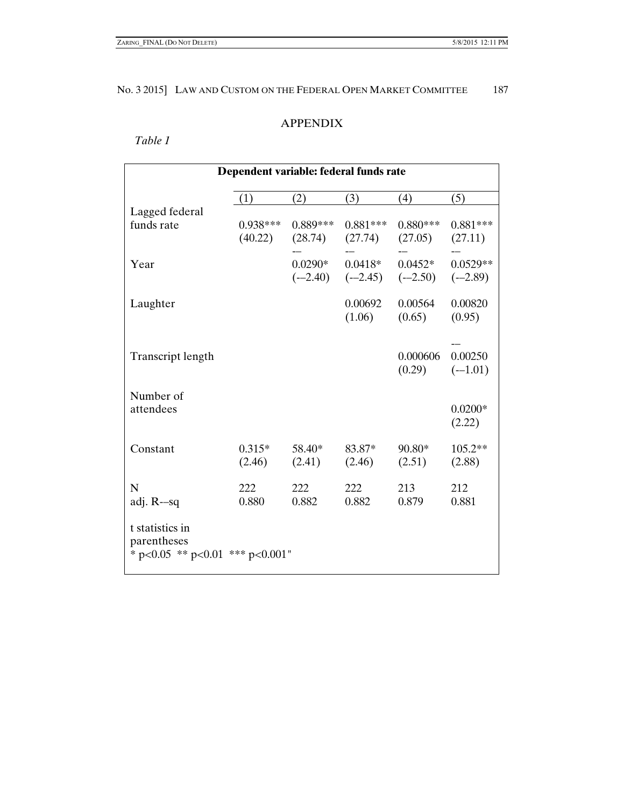# APPENDIX

# *Table 1*

| Dependent variable: federal funds rate |            |                     |            |                                         |            |  |  |  |
|----------------------------------------|------------|---------------------|------------|-----------------------------------------|------------|--|--|--|
|                                        | (1)        | (2)                 | (3)        | (4)                                     | (5)        |  |  |  |
| Lagged federal                         |            |                     |            |                                         |            |  |  |  |
| funds rate                             | $0.938***$ | $0.889***$          | $0.881***$ | $0.880***$                              | $0.881***$ |  |  |  |
|                                        |            | $(40.22)$ $(28.74)$ | (27.74)    | (27.05)                                 | (27.11)    |  |  |  |
| Year                                   |            | $0.0290*$           | $0.0418*$  | $0.0452*$                               | $0.0529**$ |  |  |  |
|                                        |            |                     |            | $(-2.40)$ $(-2.45)$ $(-2.50)$ $(-2.89)$ |            |  |  |  |
| Laughter                               |            |                     | 0.00692    | 0.00564                                 | 0.00820    |  |  |  |
|                                        |            |                     | (1.06)     | (0.65)                                  | (0.95)     |  |  |  |
|                                        |            |                     |            |                                         |            |  |  |  |
| Transcript length                      |            |                     |            | 0.000606                                | 0.00250    |  |  |  |
|                                        |            |                     |            | (0.29)                                  | $(-1.01)$  |  |  |  |
|                                        |            |                     |            |                                         |            |  |  |  |
| Number of<br>attendees                 |            |                     |            |                                         | $0.0200*$  |  |  |  |
|                                        |            |                     |            |                                         | (2.22)     |  |  |  |
|                                        |            |                     |            |                                         |            |  |  |  |
| Constant                               | $0.315*$   | 58.40*              | 83.87*     | $90.80*$                                | 105.2**    |  |  |  |
|                                        | (2.46)     | (2.41)              | (2.46)     | (2.51)                                  | (2.88)     |  |  |  |
| N                                      | 222        | 222                 | 222        | 213                                     | 212        |  |  |  |
| adj. $R$ -sq                           | 0.880      | 0.882               | 0.882      | 0.879                                   | 0.881      |  |  |  |
| t statistics in                        |            |                     |            |                                         |            |  |  |  |
| parentheses                            |            |                     |            |                                         |            |  |  |  |
| * $p<0.05$ ** $p<0.01$ *** $p<0.001$ " |            |                     |            |                                         |            |  |  |  |